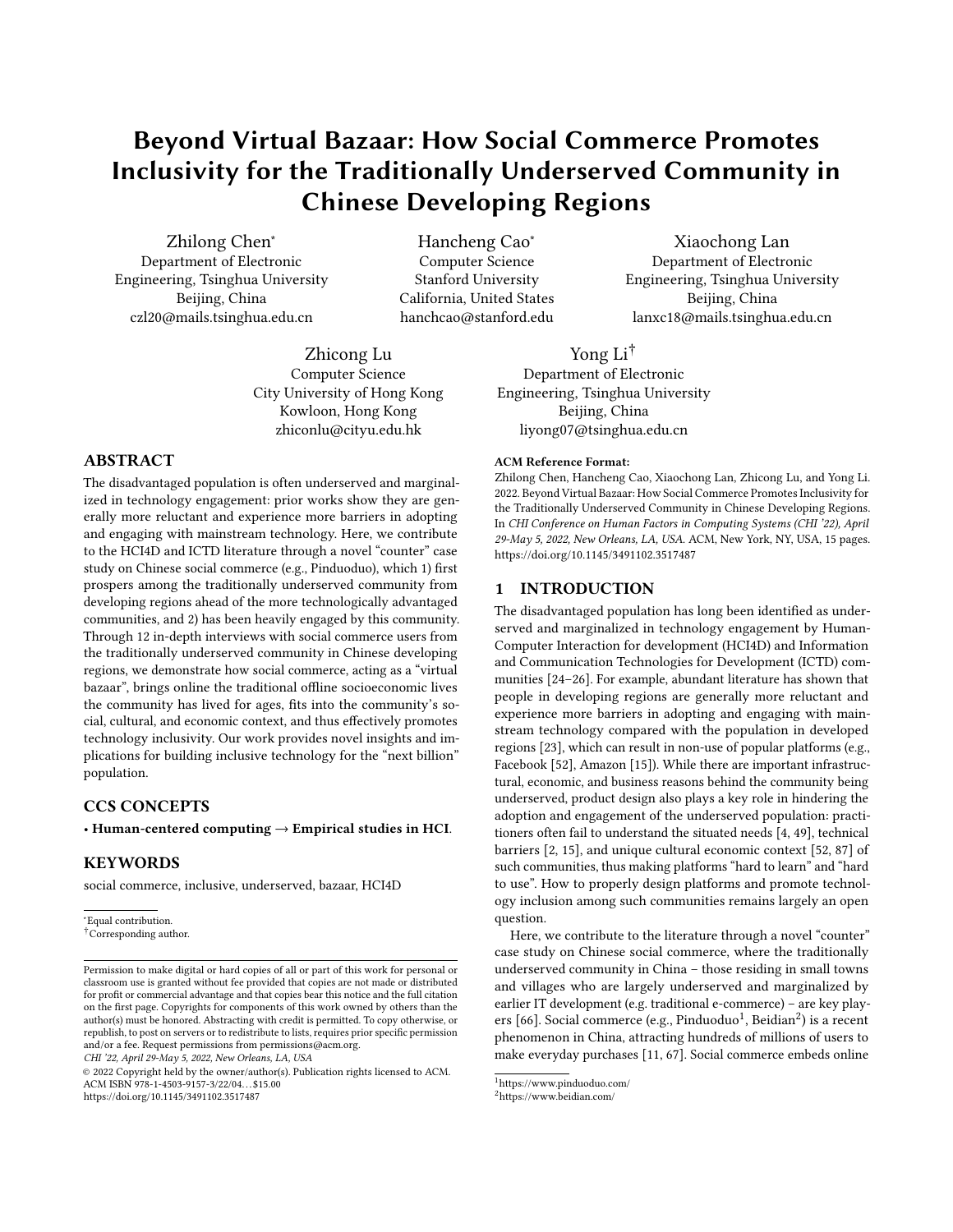# Beyond Virtual Bazaar: How Social Commerce Promotes Inclusivity for the Traditionally Underserved Community in Chinese Developing Regions

Zhilong Chen<sup>∗</sup> Hancheng Cao<sup>∗</sup> Xiaochong Lan<br>Department of Electronic Computer Science Department of Electro

Beijing, China California, United States Beijing, China

Zhicong Lu Computer Science City University of Hong Kong Kowloon, Hong Kong zhiconlu@cityu.edu.hk

## ABSTRACT

The disadvantaged population is often underserved and marginalized in technology engagement: prior works show they are generally more reluctant and experience more barriers in adopting and engaging with mainstream technology. Here, we contribute to the HCI4D and ICTD literature through a novel "counter" case study on Chinese social commerce (e.g., Pinduoduo), which 1) frst prospers among the traditionally underserved community from developing regions ahead of the more technologically advantaged communities, and 2) has been heavily engaged by this community. Through 12 in-depth interviews with social commerce users from the traditionally underserved community in Chinese developing regions, we demonstrate how social commerce, acting as a "virtual bazaar", brings online the traditional ofine socioeconomic lives the community has lived for ages, fts into the community's social, cultural, and economic context, and thus efectively promotes technology inclusivity. Our work provides novel insights and implications for building inclusive technology for the "next billion" population.

# CCS CONCEPTS

• Human-centered computing  $\rightarrow$  Empirical studies in HCI.

# **KEYWORDS**

social commerce, inclusive, underserved, bazaar, HCI4D

∗ Equal contribution.

CHI '22, April 29-May 5, 2022, New Orleans, LA, USA

Department of Electronic Engineering, Tsinghua University Stanford University Engineering, Tsinghua University czl20@mails.tsinghua.edu.cn hanchcao@stanford.edu lanxc18@mails.tsinghua.edu.cn

> Yong Li† Department of Electronic Engineering, Tsinghua University Beijing, China liyong07@tsinghua.edu.cn

#### ACM Reference Format:

Zhilong Chen, Hancheng Cao, Xiaochong Lan, Zhicong Lu, and Yong Li. 2022. Beyond Virtual Bazaar: How Social Commerce Promotes Inclusivity for the Traditionally Underserved Community in Chinese Developing Regions. In CHI Conference on Human Factors in Computing Systems (CHI '22), April 29-May 5, 2022, New Orleans, LA, USA. ACM, New York, NY, USA, [15](#page-14-0) pages. <https://doi.org/10.1145/3491102.3517487>

### 1 INTRODUCTION

The disadvantaged population has long been identifed as underserved and marginalized in technology engagement by Human-Computer Interaction for development (HCI4D) and Information and Communication Technologies for Development (ICTD) communities [\[24–](#page-13-0)[26\]](#page-13-1). For example, abundant literature has shown that people in developing regions are generally more reluctant and experience more barriers in adopting and engaging with mainstream technology compared with the population in developed regions [\[23\]](#page-13-2), which can result in non-use of popular platforms (e.g., Facebook [\[52\]](#page-13-3), Amazon [\[15\]](#page-13-4)). While there are important infrastructural, economic, and business reasons behind the community being underserved, product design also plays a key role in hindering the adoption and engagement of the underserved population: practitioners often fail to understand the situated needs [\[4,](#page-12-0) [49\]](#page-13-5), technical barriers [\[2,](#page-12-1) [15\]](#page-13-4), and unique cultural economic context [\[52,](#page-13-3) [87\]](#page-14-1) of such communities, thus making platforms "hard to learn" and "hard to use". How to properly design platforms and promote technology inclusion among such communities remains largely an open question.

Here, we contribute to the literature through a novel "counter" case study on Chinese social commerce, where the traditionally underserved community in China – those residing in small towns and villages who are largely underserved and marginalized by earlier IT development (e.g. traditional e-commerce) – are key play-ers [\[66\]](#page-14-2). Social commerce (e.g., Pinduoduo<sup>1</sup>, Beidian<sup>2</sup>) is a recent phenomenon in China, attracting hundreds of millions of users to make everyday purchases [\[11,](#page-13-6) [67\]](#page-14-3). Social commerce embeds online

<sup>†</sup>Corresponding author.

Permission to make digital or hard copies of all or part of this work for personal or classroom use is granted without fee provided that copies are not made or distributed for proft or commercial advantage and that copies bear this notice and the full citation on the frst page. Copyrights for components of this work owned by others than the author(s) must be honored. Abstracting with credit is permitted. To copy otherwise, or republish, to post on servers or to redistribute to lists, requires prior specifc permission and/or a fee. Request permissions from [permissions@acm.org](mailto:permissions@acm.org).

<sup>©</sup> 2022 Copyright held by the owner/author(s). Publication rights licensed to ACM. ACM ISBN 978-1-4503-9157-3/22/04. . . \$15.00 <https://doi.org/10.1145/3491102.3517487>

<span id="page-0-0"></span> $1$ https://www.pinduoduo.com/ $2$ https://www.beidian.com/

<span id="page-0-1"></span>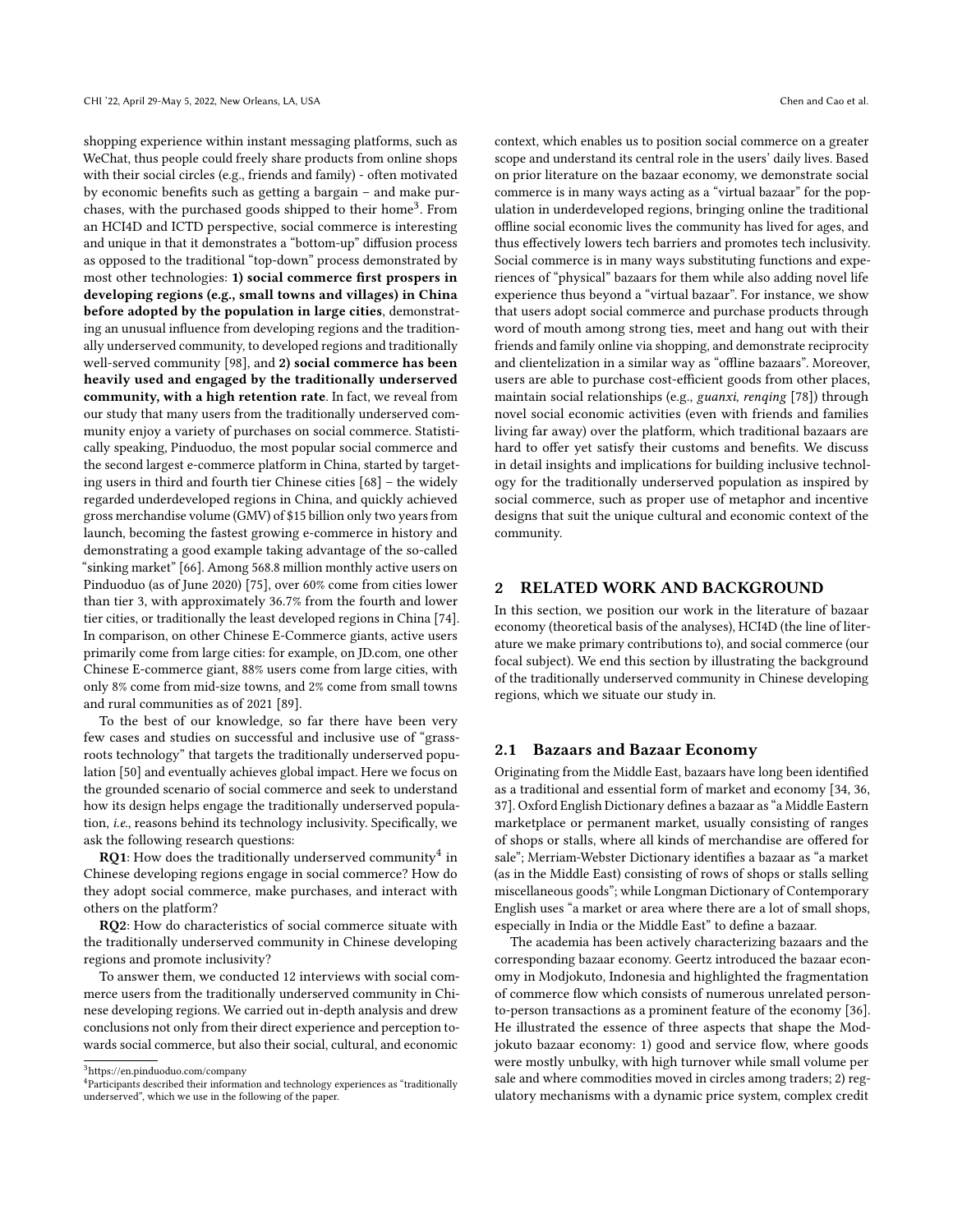shopping experience within instant messaging platforms, such as WeChat, thus people could freely share products from online shops with their social circles (e.g., friends and family) - often motivated by economic benefts such as getting a bargain – and make purchases, with the purchased goods shipped to their home<sup>3</sup>. From an HCI4D and ICTD perspective, social commerce is interesting and unique in that it demonstrates a "bottom-up" difusion process as opposed to the traditional "top-down" process demonstrated by most other technologies: 1) social commerce frst prospers in developing regions (e.g., small towns and villages) in China before adopted by the population in large cities, demonstrating an unusual infuence from developing regions and the traditionally underserved community, to developed regions and traditionally well-served community [\[98\]](#page-14-4), and 2) social commerce has been heavily used and engaged by the traditionally underserved community, with a high retention rate. In fact, we reveal from our study that many users from the traditionally underserved community enjoy a variety of purchases on social commerce. Statistically speaking, Pinduoduo, the most popular social commerce and the second largest e-commerce platform in China, started by targeting users in third and fourth tier Chinese cities [\[68\]](#page-14-5) – the widely regarded underdeveloped regions in China, and quickly achieved gross merchandise volume (GMV) of \$15 billion only two years from launch, becoming the fastest growing e-commerce in history and demonstrating a good example taking advantage of the so-called "sinking market" [\[66\]](#page-14-2). Among 568.8 million monthly active users on Pinduoduo (as of June 2020) [\[75\]](#page-14-6), over 60% come from cities lower than tier 3, with approximately 36.7% from the fourth and lower tier cities, or traditionally the least developed regions in China [\[74\]](#page-14-7). In comparison, on other Chinese E-Commerce giants, active users primarily come from large cities: for example, on JD.com, one other Chinese E-commerce giant, 88% users come from large cities, with only 8% come from mid-size towns, and 2% come from small towns and rural communities as of 2021 [\[89\]](#page-14-8).

To the best of our knowledge, so far there have been very few cases and studies on successful and inclusive use of "grassroots technology" that targets the traditionally underserved population [\[50\]](#page-13-7) and eventually achieves global impact. Here we focus on the grounded scenario of social commerce and seek to understand how its design helps engage the traditionally underserved population, i.e., reasons behind its technology inclusivity. Specifcally, we ask the following research questions:

**RQ1**: How does the traditionally underserved community<sup>[4](#page-1-1)</sup> in Chinese developing regions engage in social commerce? How do they adopt social commerce, make purchases, and interact with others on the platform?

RQ2: How do characteristics of social commerce situate with the traditionally underserved community in Chinese developing regions and promote inclusivity?

To answer them, we conducted 12 interviews with social commerce users from the traditionally underserved community in Chinese developing regions. We carried out in-depth analysis and drew conclusions not only from their direct experience and perception towards social commerce, but also their social, cultural, and economic

context, which enables us to position social commerce on a greater scope and understand its central role in the users' daily lives. Based on prior literature on the bazaar economy, we demonstrate social commerce is in many ways acting as a "virtual bazaar" for the population in underdeveloped regions, bringing online the traditional ofine social economic lives the community has lived for ages, and thus efectively lowers tech barriers and promotes tech inclusivity. Social commerce is in many ways substituting functions and experiences of "physical" bazaars for them while also adding novel life experience thus beyond a "virtual bazaar". For instance, we show that users adopt social commerce and purchase products through word of mouth among strong ties, meet and hang out with their friends and family online via shopping, and demonstrate reciprocity and clientelization in a similar way as "offline bazaars". Moreover, users are able to purchase cost-efficient goods from other places, maintain social relationships (e.g., guanxi, renqing [\[78\]](#page-14-9)) through novel social economic activities (even with friends and families living far away) over the platform, which traditional bazaars are hard to offer yet satisfy their customs and benefits. We discuss in detail insights and implications for building inclusive technology for the traditionally underserved population as inspired by social commerce, such as proper use of metaphor and incentive designs that suit the unique cultural and economic context of the community.

#### 2 RELATED WORK AND BACKGROUND

In this section, we position our work in the literature of bazaar economy (theoretical basis of the analyses), HCI4D (the line of literature we make primary contributions to), and social commerce (our focal subject). We end this section by illustrating the background of the traditionally underserved community in Chinese developing regions, which we situate our study in.

#### 2.1 Bazaars and Bazaar Economy

Originating from the Middle East, bazaars have long been identifed as a traditional and essential form of market and economy [\[34,](#page-13-8) [36,](#page-13-9) [37\]](#page-13-10). Oxford English Dictionary defnes a bazaar as"a Middle Eastern marketplace or permanent market, usually consisting of ranges of shops or stalls, where all kinds of merchandise are ofered for sale"; Merriam-Webster Dictionary identifes a bazaar as "a market (as in the Middle East) consisting of rows of shops or stalls selling miscellaneous goods"; while Longman Dictionary of Contemporary English uses "a market or area where there are a lot of small shops, especially in India or the Middle East" to defne a bazaar.

The academia has been actively characterizing bazaars and the corresponding bazaar economy. Geertz introduced the bazaar economy in Modjokuto, Indonesia and highlighted the fragmentation of commerce fow which consists of numerous unrelated personto-person transactions as a prominent feature of the economy [\[36\]](#page-13-9). He illustrated the essence of three aspects that shape the Modjokuto bazaar economy: 1) good and service flow, where goods were mostly unbulky, with high turnover while small volume per sale and where commodities moved in circles among traders; 2) regulatory mechanisms with a dynamic price system, complex credit

<span id="page-1-1"></span>

<span id="page-1-0"></span> $3$ https://en.pinduoduo.com/company<br> $4$ Participants described their information and technology experiences as "traditionally underserved", which we use in the following of the paper.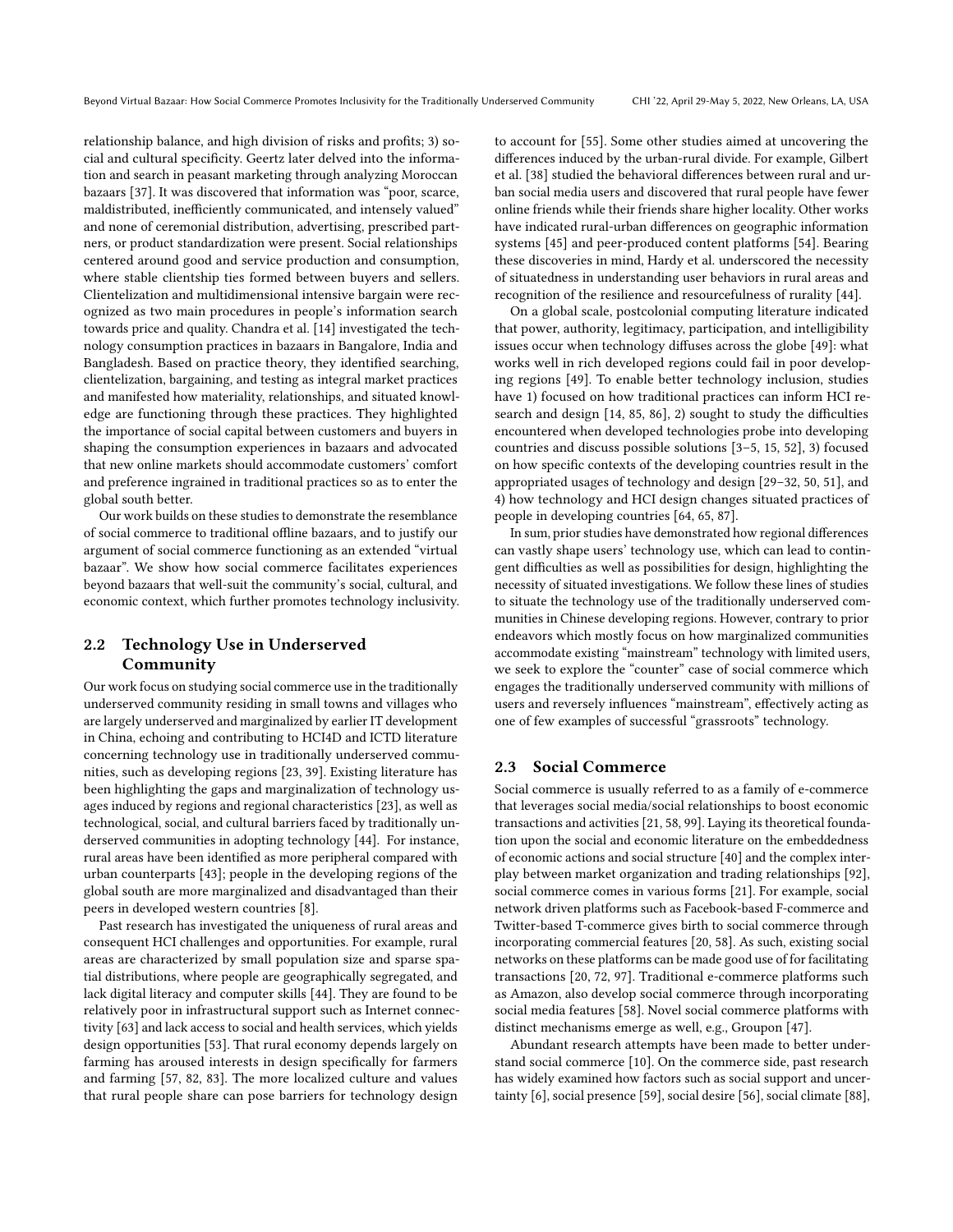relationship balance, and high division of risks and profts; 3) social and cultural specifcity. Geertz later delved into the information and search in peasant marketing through analyzing Moroccan bazaars [\[37\]](#page-13-10). It was discovered that information was "poor, scarce, maldistributed, inefficiently communicated, and intensely valued" and none of ceremonial distribution, advertising, prescribed partners, or product standardization were present. Social relationships centered around good and service production and consumption, where stable clientship ties formed between buyers and sellers. Clientelization and multidimensional intensive bargain were recognized as two main procedures in people's information search towards price and quality. Chandra et al. [\[14\]](#page-13-11) investigated the technology consumption practices in bazaars in Bangalore, India and Bangladesh. Based on practice theory, they identifed searching, clientelization, bargaining, and testing as integral market practices and manifested how materiality, relationships, and situated knowledge are functioning through these practices. They highlighted the importance of social capital between customers and buyers in shaping the consumption experiences in bazaars and advocated that new online markets should accommodate customers' comfort and preference ingrained in traditional practices so as to enter the global south better.

Our work builds on these studies to demonstrate the resemblance of social commerce to traditional ofine bazaars, and to justify our argument of social commerce functioning as an extended "virtual bazaar". We show how social commerce facilitates experiences beyond bazaars that well-suit the community's social, cultural, and economic context, which further promotes technology inclusivity.

### 2.2 Technology Use in Underserved Community

Our work focus on studying social commerce use in the traditionally underserved community residing in small towns and villages who are largely underserved and marginalized by earlier IT development in China, echoing and contributing to HCI4D and ICTD literature concerning technology use in traditionally underserved communities, such as developing regions [\[23,](#page-13-2) [39\]](#page-13-12). Existing literature has been highlighting the gaps and marginalization of technology usages induced by regions and regional characteristics [\[23\]](#page-13-2), as well as technological, social, and cultural barriers faced by traditionally underserved communities in adopting technology [\[44\]](#page-13-13). For instance, rural areas have been identifed as more peripheral compared with urban counterparts [\[43\]](#page-13-14); people in the developing regions of the global south are more marginalized and disadvantaged than their peers in developed western countries [\[8\]](#page-13-15).

Past research has investigated the uniqueness of rural areas and consequent HCI challenges and opportunities. For example, rural areas are characterized by small population size and sparse spatial distributions, where people are geographically segregated, and lack digital literacy and computer skills [\[44\]](#page-13-13). They are found to be relatively poor in infrastructural support such as Internet connectivity [\[63\]](#page-14-10) and lack access to social and health services, which yields design opportunities [\[53\]](#page-13-16). That rural economy depends largely on farming has aroused interests in design specifcally for farmers and farming [\[57,](#page-14-11) [82,](#page-14-12) [83\]](#page-14-13). The more localized culture and values that rural people share can pose barriers for technology design

to account for [\[55\]](#page-13-17). Some other studies aimed at uncovering the diferences induced by the urban-rural divide. For example, Gilbert et al. [\[38\]](#page-13-18) studied the behavioral diferences between rural and urban social media users and discovered that rural people have fewer online friends while their friends share higher locality. Other works have indicated rural-urban diferences on geographic information systems [\[45\]](#page-13-19) and peer-produced content platforms [\[54\]](#page-13-20). Bearing these discoveries in mind, Hardy et al. underscored the necessity of situatedness in understanding user behaviors in rural areas and recognition of the resilience and resourcefulness of rurality [\[44\]](#page-13-13).

On a global scale, postcolonial computing literature indicated that power, authority, legitimacy, participation, and intelligibility issues occur when technology difuses across the globe [\[49\]](#page-13-5): what works well in rich developed regions could fail in poor developing regions [\[49\]](#page-13-5). To enable better technology inclusion, studies have 1) focused on how traditional practices can inform HCI research and design  $[14, 85, 86]$  $[14, 85, 86]$  $[14, 85, 86]$  $[14, 85, 86]$  $[14, 85, 86]$ , 2) sought to study the difficulties encountered when developed technologies probe into developing countries and discuss possible solutions [\[3](#page-12-2)[–5,](#page-12-3) [15,](#page-13-4) [52\]](#page-13-3), 3) focused on how specifc contexts of the developing countries result in the appropriated usages of technology and design [\[29](#page-13-21)[–32,](#page-13-22) [50,](#page-13-7) [51\]](#page-13-23), and 4) how technology and HCI design changes situated practices of people in developing countries [\[64,](#page-14-16) [65,](#page-14-17) [87\]](#page-14-1).

In sum, prior studies have demonstrated how regional differences can vastly shape users' technology use, which can lead to contingent difculties as well as possibilities for design, highlighting the necessity of situated investigations. We follow these lines of studies to situate the technology use of the traditionally underserved communities in Chinese developing regions. However, contrary to prior endeavors which mostly focus on how marginalized communities accommodate existing "mainstream" technology with limited users, we seek to explore the "counter" case of social commerce which engages the traditionally underserved community with millions of users and reversely infuences "mainstream", efectively acting as one of few examples of successful "grassroots" technology.

### 2.3 Social Commerce

Social commerce is usually referred to as a family of e-commerce that leverages social media/social relationships to boost economic transactions and activities [\[21,](#page-13-24) [58,](#page-14-18) [99\]](#page-14-19). Laying its theoretical foundation upon the social and economic literature on the embeddedness of economic actions and social structure [\[40\]](#page-13-25) and the complex interplay between market organization and trading relationships [\[92\]](#page-14-20), social commerce comes in various forms [\[21\]](#page-13-24). For example, social network driven platforms such as Facebook-based F-commerce and Twitter-based T-commerce gives birth to social commerce through incorporating commercial features [\[20,](#page-13-26) [58\]](#page-14-18). As such, existing social networks on these platforms can be made good use of for facilitating transactions [\[20,](#page-13-26) [72,](#page-14-21) [97\]](#page-14-22). Traditional e-commerce platforms such as Amazon, also develop social commerce through incorporating social media features [\[58\]](#page-14-18). Novel social commerce platforms with distinct mechanisms emerge as well, e.g., Groupon [\[47\]](#page-13-27).

Abundant research attempts have been made to better understand social commerce [\[10\]](#page-13-28). On the commerce side, past research has widely examined how factors such as social support and uncertainty [\[6\]](#page-12-4), social presence [\[59\]](#page-14-23), social desire [\[56\]](#page-14-24), social climate [\[88\]](#page-14-25),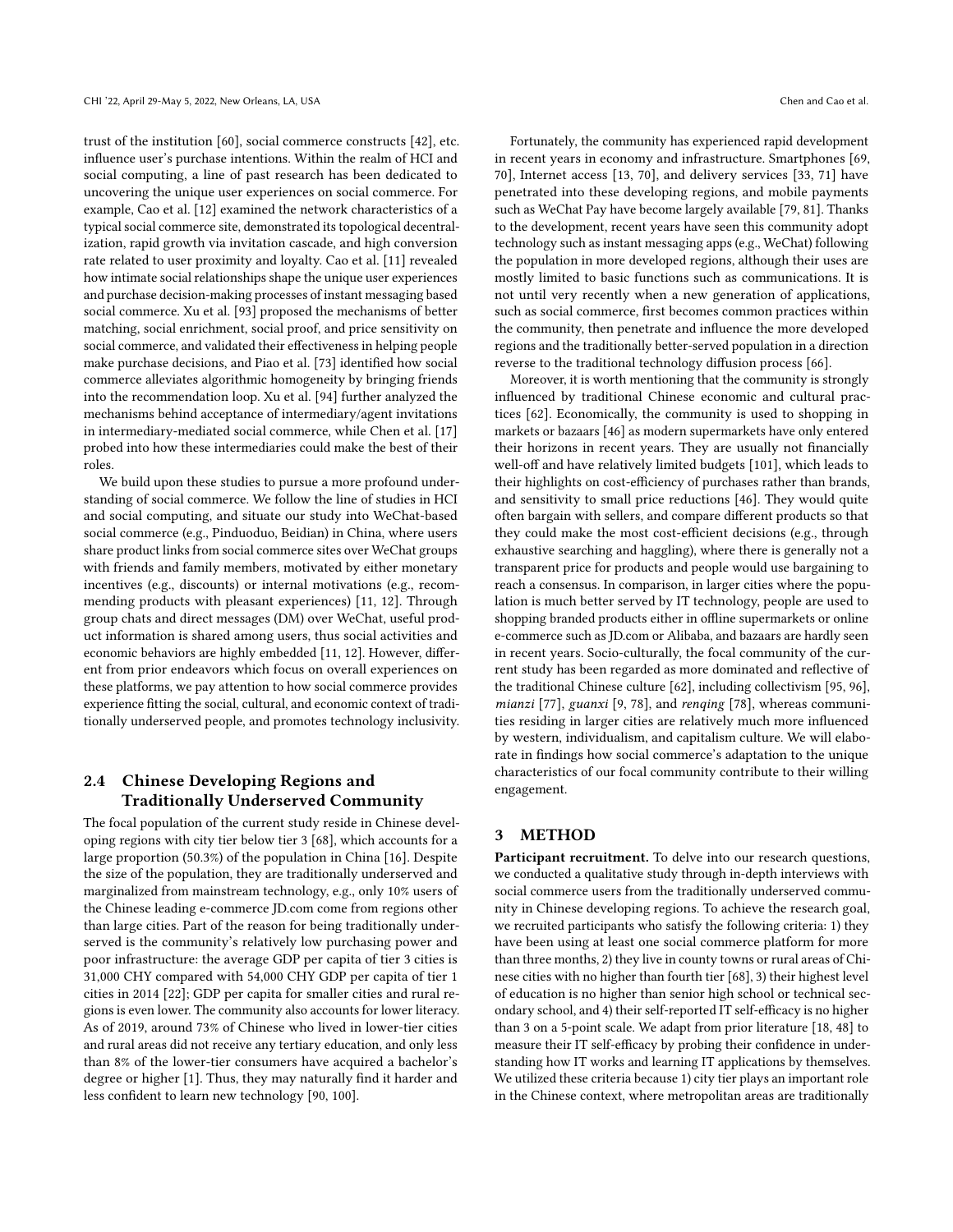trust of the institution [\[60\]](#page-14-26), social commerce constructs [\[42\]](#page-13-29), etc. infuence user's purchase intentions. Within the realm of HCI and social computing, a line of past research has been dedicated to uncovering the unique user experiences on social commerce. For example, Cao et al. [\[12\]](#page-13-30) examined the network characteristics of a typical social commerce site, demonstrated its topological decentralization, rapid growth via invitation cascade, and high conversion rate related to user proximity and loyalty. Cao et al. [\[11\]](#page-13-6) revealed how intimate social relationships shape the unique user experiences and purchase decision-making processes of instant messaging based social commerce. Xu et al. [\[93\]](#page-14-27) proposed the mechanisms of better matching, social enrichment, social proof, and price sensitivity on social commerce, and validated their efectiveness in helping people make purchase decisions, and Piao et al. [\[73\]](#page-14-28) identifed how social commerce alleviates algorithmic homogeneity by bringing friends into the recommendation loop. Xu et al. [\[94\]](#page-14-29) further analyzed the mechanisms behind acceptance of intermediary/agent invitations in intermediary-mediated social commerce, while Chen et al. [\[17\]](#page-13-31) probed into how these intermediaries could make the best of their roles.

We build upon these studies to pursue a more profound understanding of social commerce. We follow the line of studies in HCI and social computing, and situate our study into WeChat-based social commerce (e.g., Pinduoduo, Beidian) in China, where users share product links from social commerce sites over WeChat groups with friends and family members, motivated by either monetary incentives (e.g., discounts) or internal motivations (e.g., recommending products with pleasant experiences) [\[11,](#page-13-6) [12\]](#page-13-30). Through group chats and direct messages (DM) over WeChat, useful product information is shared among users, thus social activities and economic behaviors are highly embedded [\[11,](#page-13-6) [12\]](#page-13-30). However, diferent from prior endeavors which focus on overall experiences on these platforms, we pay attention to how social commerce provides experience ftting the social, cultural, and economic context of traditionally underserved people, and promotes technology inclusivity.

# 2.4 Chinese Developing Regions and Traditionally Underserved Community

The focal population of the current study reside in Chinese developing regions with city tier below tier 3 [\[68\]](#page-14-5), which accounts for a large proportion (50.3%) of the population in China [\[16\]](#page-13-32). Despite the size of the population, they are traditionally underserved and marginalized from mainstream technology, e.g., only 10% users of the Chinese leading e-commerce JD.com come from regions other than large cities. Part of the reason for being traditionally underserved is the community's relatively low purchasing power and poor infrastructure: the average GDP per capita of tier 3 cities is 31,000 CHY compared with 54,000 CHY GDP per capita of tier 1 cities in 2014 [\[22\]](#page-13-33); GDP per capita for smaller cities and rural regions is even lower. The community also accounts for lower literacy. As of 2019, around 73% of Chinese who lived in lower-tier cities and rural areas did not receive any tertiary education, and only less than 8% of the lower-tier consumers have acquired a bachelor's degree or higher [\[1\]](#page-12-5). Thus, they may naturally fnd it harder and less confdent to learn new technology [\[90,](#page-14-30) [100\]](#page-14-31).

Fortunately, the community has experienced rapid development in recent years in economy and infrastructure. Smartphones [\[69,](#page-14-32) [70\]](#page-14-33), Internet access [\[13,](#page-13-34) [70\]](#page-14-33), and delivery services [\[33,](#page-13-35) [71\]](#page-14-34) have penetrated into these developing regions, and mobile payments such as WeChat Pay have become largely available [\[79,](#page-14-35) [81\]](#page-14-36). Thanks to the development, recent years have seen this community adopt technology such as instant messaging apps (e.g., WeChat) following the population in more developed regions, although their uses are mostly limited to basic functions such as communications. It is not until very recently when a new generation of applications, such as social commerce, frst becomes common practices within the community, then penetrate and infuence the more developed regions and the traditionally better-served population in a direction reverse to the traditional technology difusion process [\[66\]](#page-14-2).

Moreover, it is worth mentioning that the community is strongly infuenced by traditional Chinese economic and cultural practices [\[62\]](#page-14-37). Economically, the community is used to shopping in markets or bazaars [\[46\]](#page-13-36) as modern supermarkets have only entered their horizons in recent years. They are usually not fnancially well-off and have relatively limited budgets [\[101\]](#page-14-38), which leads to their highlights on cost-efficiency of purchases rather than brands, and sensitivity to small price reductions [\[46\]](#page-13-36). They would quite often bargain with sellers, and compare diferent products so that they could make the most cost-efficient decisions (e.g., through exhaustive searching and haggling), where there is generally not a transparent price for products and people would use bargaining to reach a consensus. In comparison, in larger cities where the population is much better served by IT technology, people are used to shopping branded products either in offline supermarkets or online e-commerce such as JD.com or Alibaba, and bazaars are hardly seen in recent years. Socio-culturally, the focal community of the current study has been regarded as more dominated and refective of the traditional Chinese culture [\[62\]](#page-14-37), including collectivism [\[95,](#page-14-39) [96\]](#page-14-40), mianzi [\[77\]](#page-14-41), guanxi [\[9,](#page-13-37) [78\]](#page-14-9), and renqing [\[78\]](#page-14-9), whereas communities residing in larger cities are relatively much more infuenced by western, individualism, and capitalism culture. We will elaborate in fndings how social commerce's adaptation to the unique characteristics of our focal community contribute to their willing engagement.

### 3 METHOD

Participant recruitment. To delve into our research questions, we conducted a qualitative study through in-depth interviews with social commerce users from the traditionally underserved community in Chinese developing regions. To achieve the research goal, we recruited participants who satisfy the following criteria: 1) they have been using at least one social commerce platform for more than three months, 2) they live in county towns or rural areas of Chinese cities with no higher than fourth tier [\[68\]](#page-14-5), 3) their highest level of education is no higher than senior high school or technical secondary school, and 4) their self-reported IT self-efficacy is no higher than 3 on a 5-point scale. We adapt from prior literature [\[18,](#page-13-38) [48\]](#page-13-39) to measure their IT self-efficacy by probing their confidence in understanding how IT works and learning IT applications by themselves. We utilized these criteria because 1) city tier plays an important role in the Chinese context, where metropolitan areas are traditionally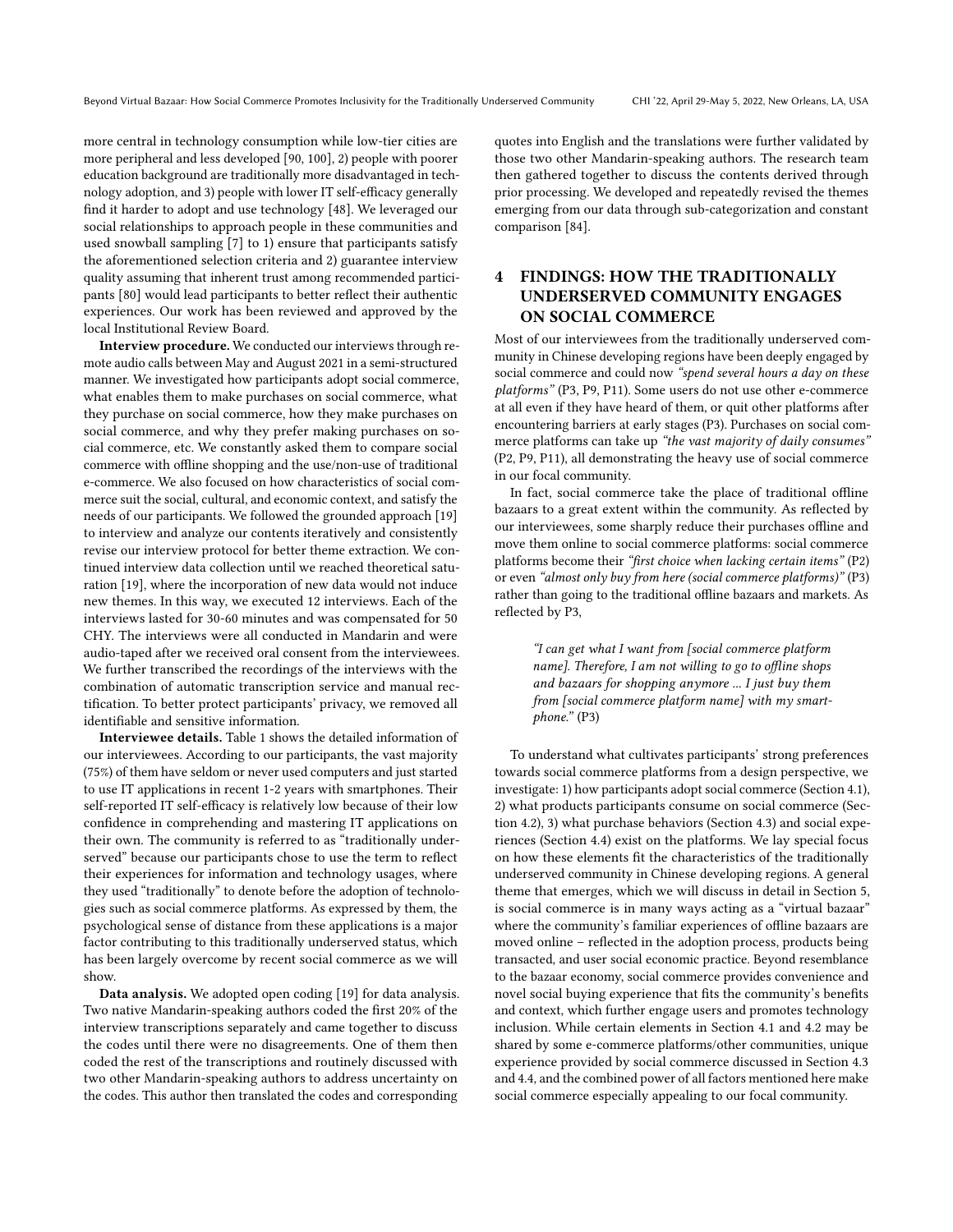more central in technology consumption while low-tier cities are more peripheral and less developed [\[90,](#page-14-30) [100\]](#page-14-31), 2) people with poorer education background are traditionally more disadvantaged in technology adoption, and 3) people with lower IT self-efficacy generally fnd it harder to adopt and use technology [\[48\]](#page-13-39). We leveraged our social relationships to approach people in these communities and used snowball sampling [\[7\]](#page-12-6) to 1) ensure that participants satisfy the aforementioned selection criteria and 2) guarantee interview quality assuming that inherent trust among recommended participants [\[80\]](#page-14-42) would lead participants to better refect their authentic experiences. Our work has been reviewed and approved by the local Institutional Review Board.

Interview procedure. We conducted our interviews through remote audio calls between May and August 2021 in a semi-structured manner. We investigated how participants adopt social commerce, what enables them to make purchases on social commerce, what they purchase on social commerce, how they make purchases on social commerce, and why they prefer making purchases on social commerce, etc. We constantly asked them to compare social commerce with offline shopping and the use/non-use of traditional e-commerce. We also focused on how characteristics of social commerce suit the social, cultural, and economic context, and satisfy the needs of our participants. We followed the grounded approach [\[19\]](#page-13-40) to interview and analyze our contents iteratively and consistently revise our interview protocol for better theme extraction. We continued interview data collection until we reached theoretical saturation [\[19\]](#page-13-40), where the incorporation of new data would not induce new themes. In this way, we executed 12 interviews. Each of the interviews lasted for 30-60 minutes and was compensated for 50 CHY. The interviews were all conducted in Mandarin and were audio-taped after we received oral consent from the interviewees. We further transcribed the recordings of the interviews with the combination of automatic transcription service and manual rectifcation. To better protect participants' privacy, we removed all identifable and sensitive information.

Interviewee details. Table [1](#page-5-0) shows the detailed information of our interviewees. According to our participants, the vast majority (75%) of them have seldom or never used computers and just started to use IT applications in recent 1-2 years with smartphones. Their self-reported IT self-efficacy is relatively low because of their low confdence in comprehending and mastering IT applications on their own. The community is referred to as "traditionally underserved" because our participants chose to use the term to refect their experiences for information and technology usages, where they used "traditionally" to denote before the adoption of technologies such as social commerce platforms. As expressed by them, the psychological sense of distance from these applications is a major factor contributing to this traditionally underserved status, which has been largely overcome by recent social commerce as we will show.

Data analysis. We adopted open coding [\[19\]](#page-13-40) for data analysis. Two native Mandarin-speaking authors coded the frst 20% of the interview transcriptions separately and came together to discuss the codes until there were no disagreements. One of them then coded the rest of the transcriptions and routinely discussed with two other Mandarin-speaking authors to address uncertainty on the codes. This author then translated the codes and corresponding

quotes into English and the translations were further validated by those two other Mandarin-speaking authors. The research team then gathered together to discuss the contents derived through prior processing. We developed and repeatedly revised the themes emerging from our data through sub-categorization and constant comparison [\[84\]](#page-14-43).

# 4 FINDINGS: HOW THE TRADITIONALLY UNDERSERVED COMMUNITY ENGAGES ON SOCIAL COMMERCE

Most of our interviewees from the traditionally underserved community in Chinese developing regions have been deeply engaged by social commerce and could now "spend several hours a day on these platforms" (P3, P9, P11). Some users do not use other e-commerce at all even if they have heard of them, or quit other platforms after encountering barriers at early stages (P3). Purchases on social commerce platforms can take up "the vast majority of daily consumes" (P2, P9, P11), all demonstrating the heavy use of social commerce in our focal community.

In fact, social commerce take the place of traditional ofine bazaars to a great extent within the community. As refected by our interviewees, some sharply reduce their purchases offline and move them online to social commerce platforms: social commerce platforms become their "frst choice when lacking certain items" (P2) or even "almost only buy from here (social commerce platforms)" (P3) rather than going to the traditional ofine bazaars and markets. As reflected by P3,

"I can get what I want from [social commerce platform name]. Therefore, I am not willing to go to offline shops and bazaars for shopping anymore ... I just buy them from [social commerce platform name] with my smartphone." (P3)

To understand what cultivates participants' strong preferences towards social commerce platforms from a design perspective, we investigate: 1) how participants adopt social commerce (Section [4.1\)](#page-5-1), 2) what products participants consume on social commerce (Section [4.2\)](#page-6-0), 3) what purchase behaviors (Section [4.3\)](#page-6-1) and social experiences (Section [4.4\)](#page-8-0) exist on the platforms. We lay special focus on how these elements ft the characteristics of the traditionally underserved community in Chinese developing regions. A general theme that emerges, which we will discuss in detail in Section [5,](#page-10-0) is social commerce is in many ways acting as a "virtual bazaar" where the community's familiar experiences of offline bazaars are moved online – refected in the adoption process, products being transacted, and user social economic practice. Beyond resemblance to the bazaar economy, social commerce provides convenience and novel social buying experience that fts the community's benefts and context, which further engage users and promotes technology inclusion. While certain elements in Section [4.1](#page-5-1) and [4.2](#page-6-0) may be shared by some e-commerce platforms/other communities, unique experience provided by social commerce discussed in Section [4.3](#page-6-1) and [4.4,](#page-8-0) and the combined power of all factors mentioned here make social commerce especially appealing to our focal community.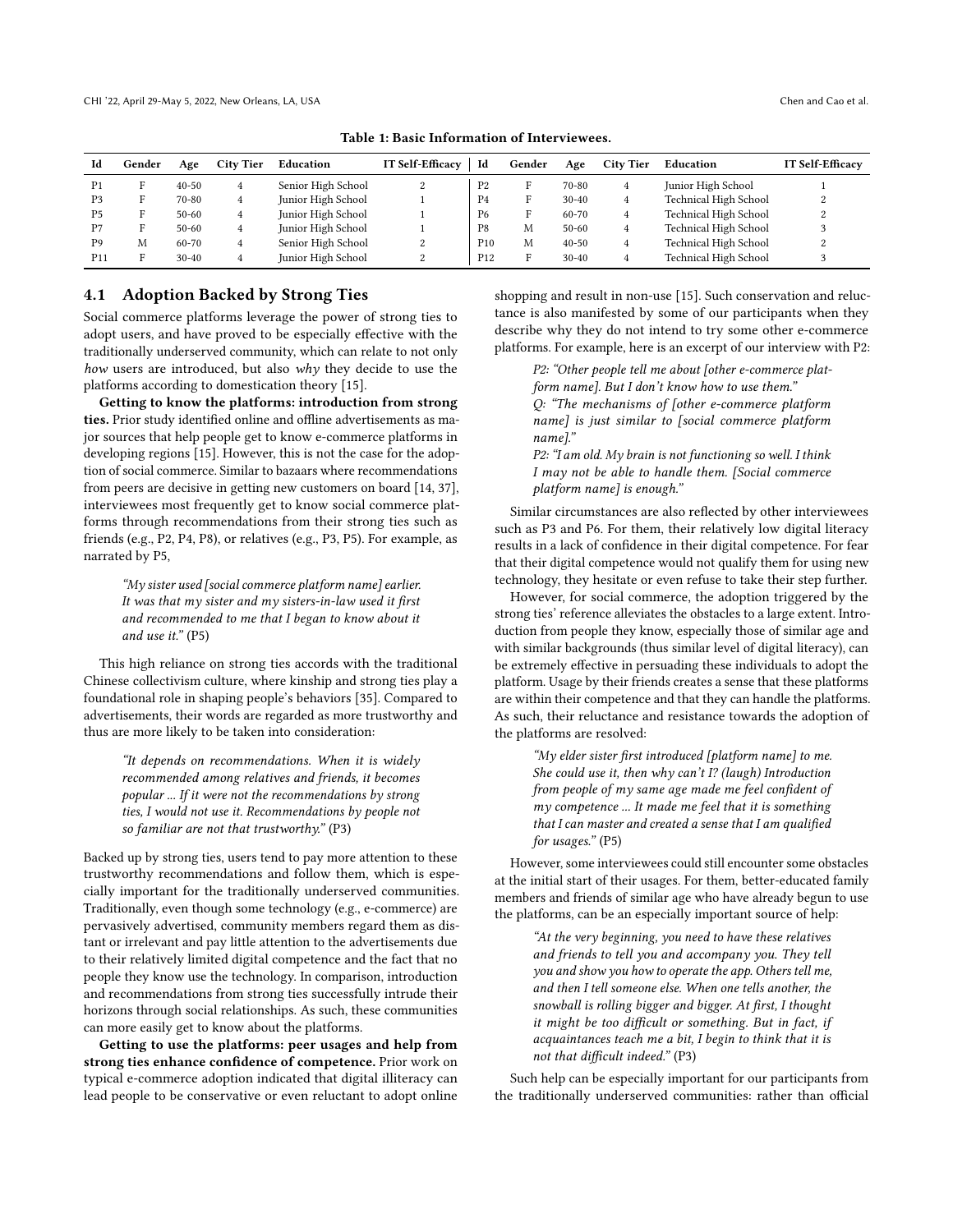<span id="page-5-0"></span>

| Id              | Gender | Age       | <b>City Tier</b> | Education          | <b>IT Self-Efficacy</b> | Id              | Gender | Age       | <b>City Tier</b> | Education                    | <b>IT Self-Efficacy</b> |
|-----------------|--------|-----------|------------------|--------------------|-------------------------|-----------------|--------|-----------|------------------|------------------------------|-------------------------|
| P <sub>1</sub>  |        | $40 - 50$ | 4                | Senior High School | $\Omega$<br>$\epsilon$  | P <sub>2</sub>  | п      | 70-80     | 4                | Junior High School           |                         |
| P <sub>3</sub>  |        | 70-80     | 4                | Junior High School |                         | P4              | F      | $30 - 40$ | 4                | Technical High School        | ∠                       |
| P <sub>5</sub>  |        | $50 - 60$ | 4                | Junior High School |                         | P <sub>6</sub>  | F      | $60 - 70$ | 4                | Technical High School        | ↵                       |
| P <sub>7</sub>  |        | $50 - 60$ | 4                | Junior High School |                         | P8              | M      | $50 - 60$ | 4                | Technical High School        |                         |
| P <sub>9</sub>  | M      | 60-70     | 4                | Senior High School | 2                       | P <sub>10</sub> | M      | $40 - 50$ | 4                | <b>Technical High School</b> |                         |
| P <sub>11</sub> |        | $30-40$   | 4                | Junior High School | $\Omega$<br>∠           | P <sub>12</sub> | Е      | $30-40$   | 4                | Technical High School        |                         |

Table 1: Basic Information of Interviewees.

### <span id="page-5-1"></span>4.1 Adoption Backed by Strong Ties

Social commerce platforms leverage the power of strong ties to adopt users, and have proved to be especially efective with the traditionally underserved community, which can relate to not only how users are introduced, but also why they decide to use the platforms according to domestication theory [\[15\]](#page-13-4).

Getting to know the platforms: introduction from strong ties. Prior study identified online and offline advertisements as major sources that help people get to know e-commerce platforms in developing regions [\[15\]](#page-13-4). However, this is not the case for the adoption of social commerce. Similar to bazaars where recommendations from peers are decisive in getting new customers on board [\[14,](#page-13-11) [37\]](#page-13-10), interviewees most frequently get to know social commerce platforms through recommendations from their strong ties such as friends (e.g., P2, P4, P8), or relatives (e.g., P3, P5). For example, as narrated by P5,

"My sister used [social commerce platform name] earlier. It was that my sister and my sisters-in-law used it first and recommended to me that I began to know about it and use it." (P5)

This high reliance on strong ties accords with the traditional Chinese collectivism culture, where kinship and strong ties play a foundational role in shaping people's behaviors [\[35\]](#page-13-41). Compared to advertisements, their words are regarded as more trustworthy and thus are more likely to be taken into consideration:

"It depends on recommendations. When it is widely recommended among relatives and friends, it becomes popular ... If it were not the recommendations by strong ties, I would not use it. Recommendations by people not so familiar are not that trustworthy." (P3)

Backed up by strong ties, users tend to pay more attention to these trustworthy recommendations and follow them, which is especially important for the traditionally underserved communities. Traditionally, even though some technology (e.g., e-commerce) are pervasively advertised, community members regard them as distant or irrelevant and pay little attention to the advertisements due to their relatively limited digital competence and the fact that no people they know use the technology. In comparison, introduction and recommendations from strong ties successfully intrude their horizons through social relationships. As such, these communities can more easily get to know about the platforms.

Getting to use the platforms: peer usages and help from strong ties enhance confdence of competence. Prior work on typical e-commerce adoption indicated that digital illiteracy can lead people to be conservative or even reluctant to adopt online

shopping and result in non-use [\[15\]](#page-13-4). Such conservation and reluctance is also manifested by some of our participants when they describe why they do not intend to try some other e-commerce platforms. For example, here is an excerpt of our interview with P2:

P2: "Other people tell me about [other e-commerce platform name]. But I don't know how to use them." Q: "The mechanisms of [other e-commerce platform name] is just similar to [social commerce platform name]."

P2: "I am old. My brain is not functioning so well. I think I may not be able to handle them. [Social commerce platform name] is enough."

Similar circumstances are also refected by other interviewees such as P3 and P6. For them, their relatively low digital literacy results in a lack of confdence in their digital competence. For fear that their digital competence would not qualify them for using new technology, they hesitate or even refuse to take their step further.

However, for social commerce, the adoption triggered by the strong ties' reference alleviates the obstacles to a large extent. Introduction from people they know, especially those of similar age and with similar backgrounds (thus similar level of digital literacy), can be extremely efective in persuading these individuals to adopt the platform. Usage by their friends creates a sense that these platforms are within their competence and that they can handle the platforms. As such, their reluctance and resistance towards the adoption of the platforms are resolved:

"My elder sister frst introduced [platform name] to me. She could use it, then why can't  $I$ ? (laugh) Introduction from people of my same age made me feel confdent of my competence ... It made me feel that it is something that I can master and created a sense that I am qualifed for usages." (P5)

However, some interviewees could still encounter some obstacles at the initial start of their usages. For them, better-educated family members and friends of similar age who have already begun to use the platforms, can be an especially important source of help:

> "At the very beginning, you need to have these relatives and friends to tell you and accompany you. They tell you and show you how to operate the app. Others tell me, and then I tell someone else. When one tells another, the snowball is rolling bigger and bigger. At frst, I thought it might be too difficult or something. But in fact, if acquaintances teach me a bit, I begin to think that it is not that difficult indeed." (P3)

Such help can be especially important for our participants from the traditionally underserved communities: rather than official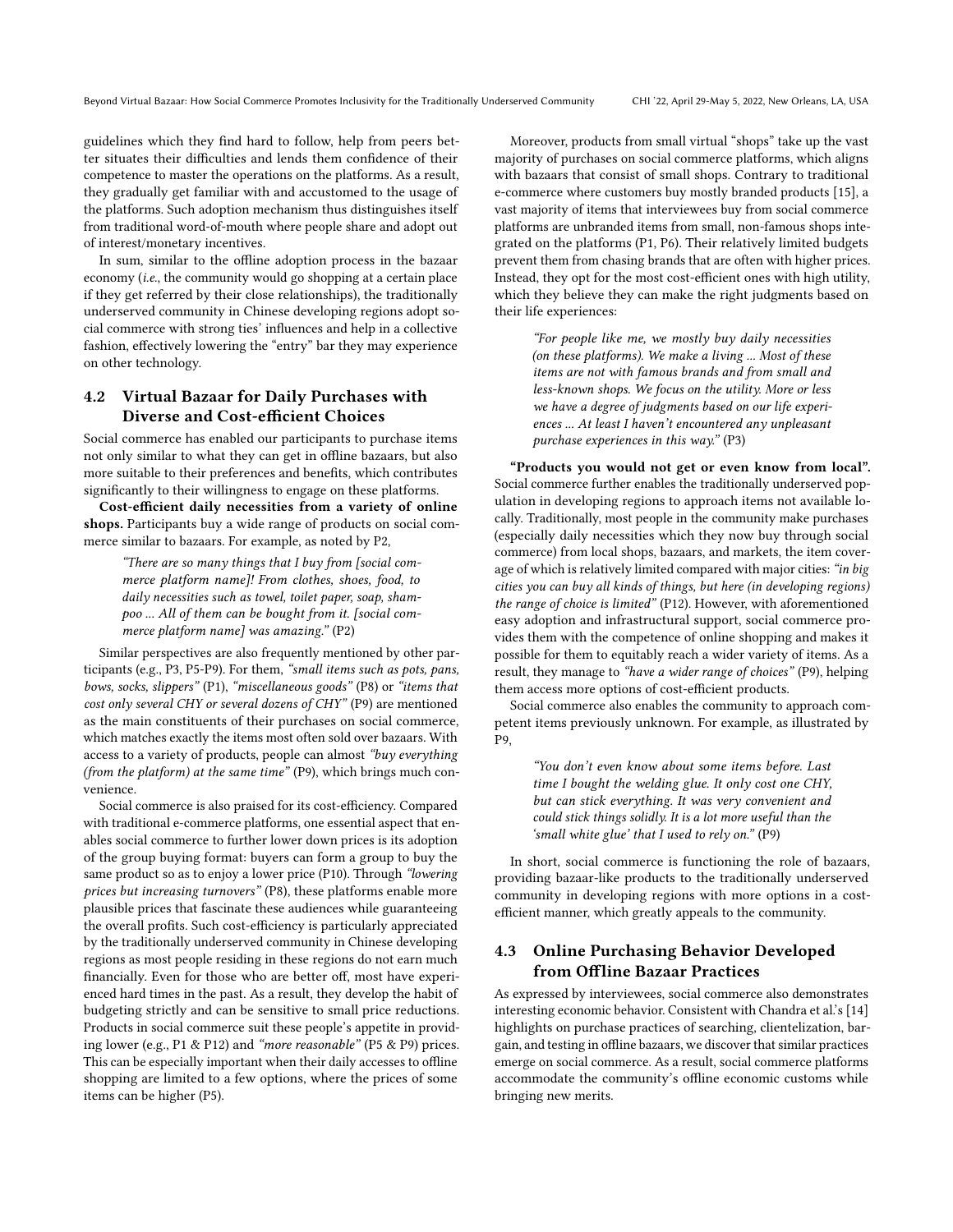guidelines which they fnd hard to follow, help from peers better situates their difficulties and lends them confidence of their competence to master the operations on the platforms. As a result, they gradually get familiar with and accustomed to the usage of the platforms. Such adoption mechanism thus distinguishes itself from traditional word-of-mouth where people share and adopt out of interest/monetary incentives.

In sum, similar to the offline adoption process in the bazaar economy (i.e., the community would go shopping at a certain place if they get referred by their close relationships), the traditionally underserved community in Chinese developing regions adopt social commerce with strong ties' infuences and help in a collective fashion, effectively lowering the "entry" bar they may experience on other technology.

# <span id="page-6-0"></span>4.2 Virtual Bazaar for Daily Purchases with Diverse and Cost-efficient Choices

Social commerce has enabled our participants to purchase items not only similar to what they can get in ofine bazaars, but also more suitable to their preferences and benefts, which contributes signifcantly to their willingness to engage on these platforms.

Cost-efficient daily necessities from a variety of online shops. Participants buy a wide range of products on social commerce similar to bazaars. For example, as noted by P2,

"There are so many things that I buy from [social commerce platform name]! From clothes, shoes, food, to daily necessities such as towel, toilet paper, soap, shampoo ... All of them can be bought from it. [social commerce platform name] was amazing." (P2)

Similar perspectives are also frequently mentioned by other participants (e.g., P3, P5-P9). For them, "small items such as pots, pans, bows, socks, slippers" (P1), "miscellaneous goods" (P8) or "items that cost only several CHY or several dozens of CHY" (P9) are mentioned as the main constituents of their purchases on social commerce, which matches exactly the items most often sold over bazaars. With access to a variety of products, people can almost "buy everything (from the platform) at the same time" (P9), which brings much convenience.

Social commerce is also praised for its cost-efficiency. Compared with traditional e-commerce platforms, one essential aspect that enables social commerce to further lower down prices is its adoption of the group buying format: buyers can form a group to buy the same product so as to enjoy a lower price (P10). Through "lowering prices but increasing turnovers" (P8), these platforms enable more plausible prices that fascinate these audiences while guaranteeing the overall profits. Such cost-efficiency is particularly appreciated by the traditionally underserved community in Chinese developing regions as most people residing in these regions do not earn much financially. Even for those who are better off, most have experienced hard times in the past. As a result, they develop the habit of budgeting strictly and can be sensitive to small price reductions. Products in social commerce suit these people's appetite in providing lower (e.g., P1 & P12) and "more reasonable" (P5 & P9) prices. This can be especially important when their daily accesses to offline shopping are limited to a few options, where the prices of some items can be higher (P5).

Moreover, products from small virtual "shops" take up the vast majority of purchases on social commerce platforms, which aligns with bazaars that consist of small shops. Contrary to traditional e-commerce where customers buy mostly branded products [\[15\]](#page-13-4), a vast majority of items that interviewees buy from social commerce platforms are unbranded items from small, non-famous shops integrated on the platforms (P1, P6). Their relatively limited budgets prevent them from chasing brands that are often with higher prices. Instead, they opt for the most cost-efficient ones with high utility, which they believe they can make the right judgments based on their life experiences:

> "For people like me, we mostly buy daily necessities (on these platforms). We make a living ... Most of these items are not with famous brands and from small and less-known shops. We focus on the utility. More or less we have a degree of judgments based on our life experiences ... At least I haven't encountered any unpleasant purchase experiences in this way." (P3)

"Products you would not get or even know from local". Social commerce further enables the traditionally underserved population in developing regions to approach items not available locally. Traditionally, most people in the community make purchases (especially daily necessities which they now buy through social commerce) from local shops, bazaars, and markets, the item coverage of which is relatively limited compared with major cities: "in big cities you can buy all kinds of things, but here (in developing regions) the range of choice is limited" (P12). However, with aforementioned easy adoption and infrastructural support, social commerce provides them with the competence of online shopping and makes it possible for them to equitably reach a wider variety of items. As a result, they manage to "have a wider range of choices" (P9), helping them access more options of cost-efficient products.

Social commerce also enables the community to approach competent items previously unknown. For example, as illustrated by P9,

> "You don't even know about some items before. Last time I bought the welding glue. It only cost one CHY, but can stick everything. It was very convenient and could stick things solidly. It is a lot more useful than the 'small white glue' that I used to rely on." (P9)

In short, social commerce is functioning the role of bazaars, providing bazaar-like products to the traditionally underserved community in developing regions with more options in a costefficient manner, which greatly appeals to the community.

# <span id="page-6-1"></span>4.3 Online Purchasing Behavior Developed from Ofline Bazaar Practices

As expressed by interviewees, social commerce also demonstrates interesting economic behavior. Consistent with Chandra et al.'s [\[14\]](#page-13-11) highlights on purchase practices of searching, clientelization, bargain, and testing in offline bazaars, we discover that similar practices emerge on social commerce. As a result, social commerce platforms accommodate the community's offline economic customs while bringing new merits.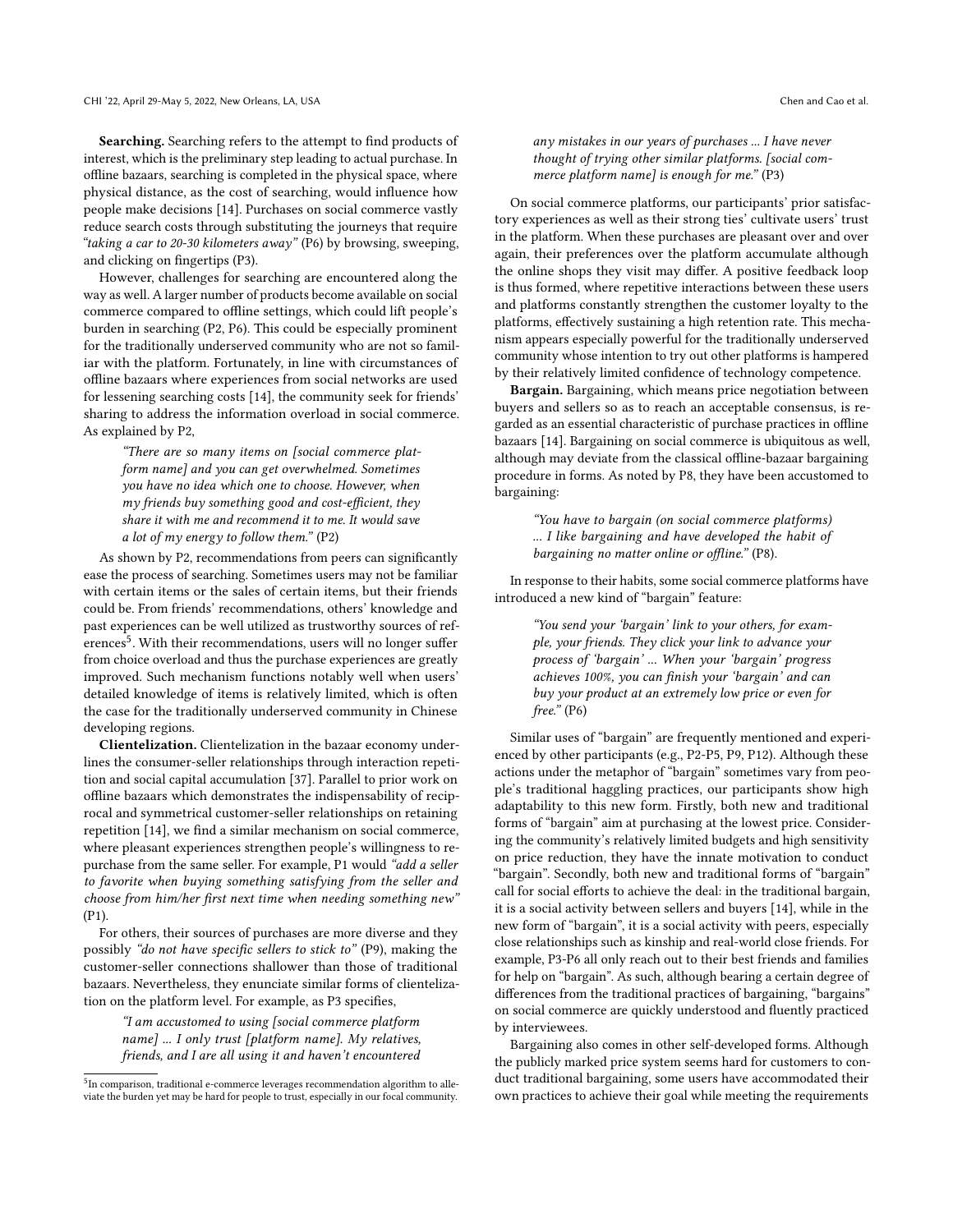Searching. Searching refers to the attempt to find products of interest, which is the preliminary step leading to actual purchase. In ofine bazaars, searching is completed in the physical space, where physical distance, as the cost of searching, would infuence how people make decisions [\[14\]](#page-13-11). Purchases on social commerce vastly reduce search costs through substituting the journeys that require "taking a car to 20-30 kilometers away" (P6) by browsing, sweeping, and clicking on fngertips (P3).

However, challenges for searching are encountered along the way as well. A larger number of products become available on social commerce compared to ofine settings, which could lift people's burden in searching (P2, P6). This could be especially prominent for the traditionally underserved community who are not so familiar with the platform. Fortunately, in line with circumstances of ofine bazaars where experiences from social networks are used for lessening searching costs [\[14\]](#page-13-11), the community seek for friends' sharing to address the information overload in social commerce. As explained by P2,

"There are so many items on [social commerce platform name] and you can get overwhelmed. Sometimes you have no idea which one to choose. However, when my friends buy something good and cost-efficient, they share it with me and recommend it to me. It would save a lot of my energy to follow them." (P2)

As shown by P2, recommendations from peers can signifcantly ease the process of searching. Sometimes users may not be familiar with certain items or the sales of certain items, but their friends could be. From friends' recommendations, others' knowledge and past experiences can be well utilized as trustworthy sources of references<sup>5</sup>. With their recommendations, users will no longer suffer from choice overload and thus the purchase experiences are greatly improved. Such mechanism functions notably well when users' detailed knowledge of items is relatively limited, which is often the case for the traditionally underserved community in Chinese developing regions.

Clientelization. Clientelization in the bazaar economy underlines the consumer-seller relationships through interaction repetition and social capital accumulation [\[37\]](#page-13-10). Parallel to prior work on ofine bazaars which demonstrates the indispensability of reciprocal and symmetrical customer-seller relationships on retaining repetition [\[14\]](#page-13-11), we fnd a similar mechanism on social commerce, where pleasant experiences strengthen people's willingness to repurchase from the same seller. For example, P1 would "add a seller to favorite when buying something satisfying from the seller and choose from him/her frst next time when needing something new" (P1).

For others, their sources of purchases are more diverse and they possibly "do not have specifc sellers to stick to" (P9), making the customer-seller connections shallower than those of traditional bazaars. Nevertheless, they enunciate similar forms of clientelization on the platform level. For example, as P3 specifes,

"I am accustomed to using [social commerce platform name] ... I only trust [platform name]. My relatives, friends, and I are all using it and haven't encountered

any mistakes in our years of purchases ... I have never thought of trying other similar platforms. [social commerce platform name] is enough for me." (P3)

On social commerce platforms, our participants' prior satisfactory experiences as well as their strong ties' cultivate users' trust in the platform. When these purchases are pleasant over and over again, their preferences over the platform accumulate although the online shops they visit may difer. A positive feedback loop is thus formed, where repetitive interactions between these users and platforms constantly strengthen the customer loyalty to the platforms, effectively sustaining a high retention rate. This mechanism appears especially powerful for the traditionally underserved community whose intention to try out other platforms is hampered by their relatively limited confdence of technology competence.

Bargain. Bargaining, which means price negotiation between buyers and sellers so as to reach an acceptable consensus, is regarded as an essential characteristic of purchase practices in ofine bazaars [\[14\]](#page-13-11). Bargaining on social commerce is ubiquitous as well, although may deviate from the classical ofine-bazaar bargaining procedure in forms. As noted by P8, they have been accustomed to bargaining:

> "You have to bargain (on social commerce platforms) ... I like bargaining and have developed the habit of bargaining no matter online or offline." (P8).

In response to their habits, some social commerce platforms have introduced a new kind of "bargain" feature:

"You send your 'bargain' link to your others, for example, your friends. They click your link to advance your process of 'bargain' ... When your 'bargain' progress achieves 100%, you can fnish your 'bargain' and can buy your product at an extremely low price or even for free." (P6)

Similar uses of "bargain" are frequently mentioned and experienced by other participants (e.g., P2-P5, P9, P12). Although these actions under the metaphor of "bargain" sometimes vary from people's traditional haggling practices, our participants show high adaptability to this new form. Firstly, both new and traditional forms of "bargain" aim at purchasing at the lowest price. Considering the community's relatively limited budgets and high sensitivity on price reduction, they have the innate motivation to conduct "bargain". Secondly, both new and traditional forms of "bargain" call for social efforts to achieve the deal: in the traditional bargain, it is a social activity between sellers and buyers [\[14\]](#page-13-11), while in the new form of "bargain", it is a social activity with peers, especially close relationships such as kinship and real-world close friends. For example, P3-P6 all only reach out to their best friends and families for help on "bargain". As such, although bearing a certain degree of diferences from the traditional practices of bargaining, "bargains" on social commerce are quickly understood and fuently practiced by interviewees.

Bargaining also comes in other self-developed forms. Although the publicly marked price system seems hard for customers to conduct traditional bargaining, some users have accommodated their own practices to achieve their goal while meeting the requirements

<span id="page-7-0"></span><sup>&</sup>lt;sup>5</sup>In comparison, traditional e-commerce leverages recommendation algorithm to alleviate the burden yet may be hard for people to trust, especially in our focal community.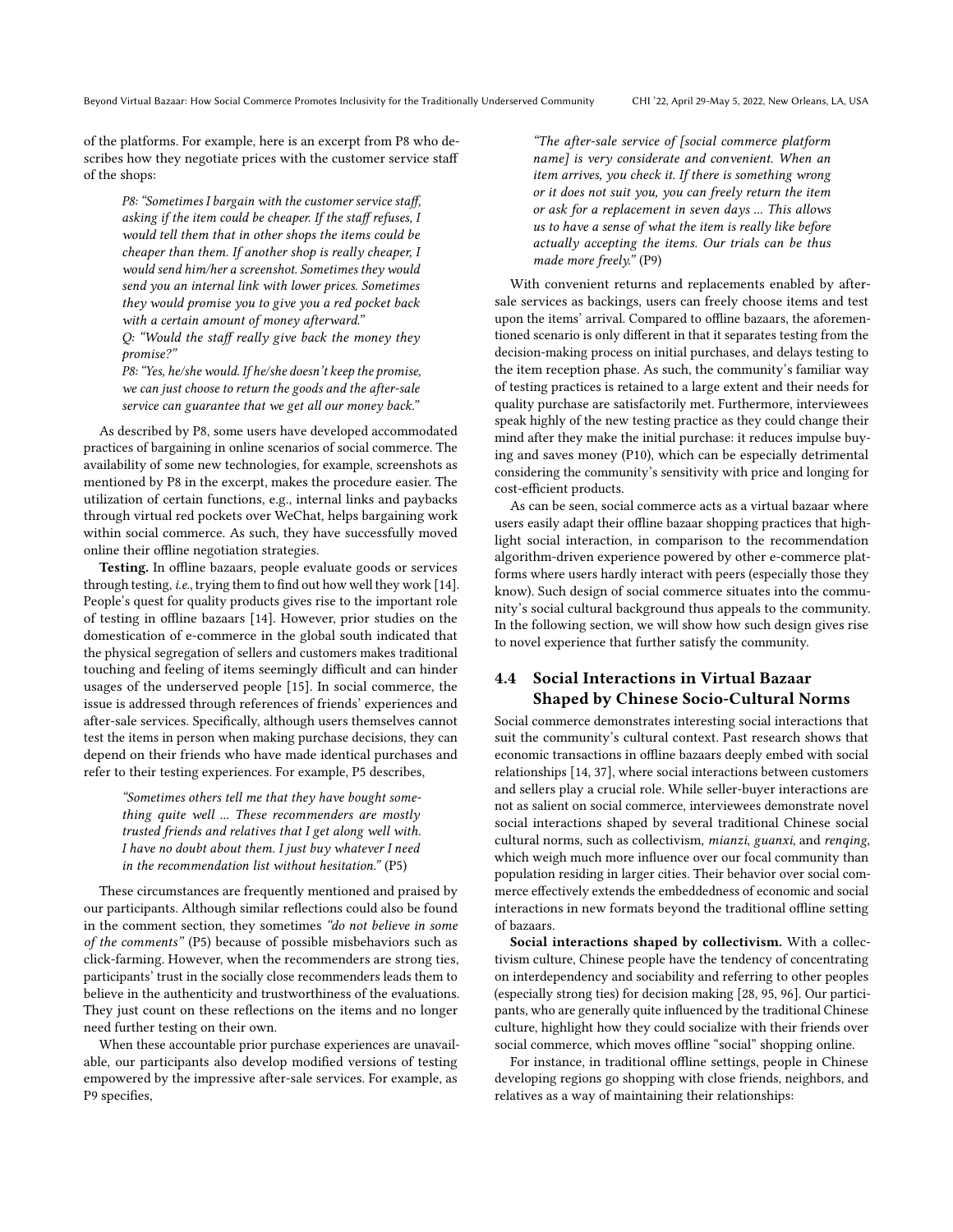of the platforms. For example, here is an excerpt from P8 who describes how they negotiate prices with the customer service staf of the shops:

P8: "Sometimes I bargain with the customer service staff, asking if the item could be cheaper. If the staff refuses, I would tell them that in other shops the items could be cheaper than them. If another shop is really cheaper, I would send him/her a screenshot. Sometimes they would send you an internal link with lower prices. Sometimes they would promise you to give you a red pocket back with a certain amount of money afterward."

 $Q:$  "Would the staff really give back the money they promise?"

P8:"Yes, he/she would. If he/she doesn't keep the promise, we can just choose to return the goods and the after-sale service can guarantee that we get all our money back."

As described by P8, some users have developed accommodated practices of bargaining in online scenarios of social commerce. The availability of some new technologies, for example, screenshots as mentioned by P8 in the excerpt, makes the procedure easier. The utilization of certain functions, e.g., internal links and paybacks through virtual red pockets over WeChat, helps bargaining work within social commerce. As such, they have successfully moved online their offline negotiation strategies.

Testing. In offline bazaars, people evaluate goods or services through testing, i.e., trying them to fnd out how well they work [\[14\]](#page-13-11). People's quest for quality products gives rise to the important role of testing in ofine bazaars [\[14\]](#page-13-11). However, prior studies on the domestication of e-commerce in the global south indicated that the physical segregation of sellers and customers makes traditional touching and feeling of items seemingly difficult and can hinder usages of the underserved people [\[15\]](#page-13-4). In social commerce, the issue is addressed through references of friends' experiences and after-sale services. Specifcally, although users themselves cannot test the items in person when making purchase decisions, they can depend on their friends who have made identical purchases and refer to their testing experiences. For example, P5 describes,

"Sometimes others tell me that they have bought something quite well ... These recommenders are mostly trusted friends and relatives that I get along well with. I have no doubt about them. I just buy whatever I need in the recommendation list without hesitation." (P5)

These circumstances are frequently mentioned and praised by our participants. Although similar refections could also be found in the comment section, they sometimes "do not believe in some of the comments" (P5) because of possible misbehaviors such as click-farming. However, when the recommenders are strong ties, participants' trust in the socially close recommenders leads them to believe in the authenticity and trustworthiness of the evaluations. They just count on these refections on the items and no longer need further testing on their own.

When these accountable prior purchase experiences are unavailable, our participants also develop modifed versions of testing empowered by the impressive after-sale services. For example, as P9 specifes,

"The after-sale service of [social commerce platform name] is very considerate and convenient. When an item arrives, you check it. If there is something wrong or it does not suit you, you can freely return the item or ask for a replacement in seven days ... This allows us to have a sense of what the item is really like before actually accepting the items. Our trials can be thus made more freely." (P9)

With convenient returns and replacements enabled by aftersale services as backings, users can freely choose items and test upon the items' arrival. Compared to offline bazaars, the aforementioned scenario is only diferent in that it separates testing from the decision-making process on initial purchases, and delays testing to the item reception phase. As such, the community's familiar way of testing practices is retained to a large extent and their needs for quality purchase are satisfactorily met. Furthermore, interviewees speak highly of the new testing practice as they could change their mind after they make the initial purchase: it reduces impulse buying and saves money (P10), which can be especially detrimental considering the community's sensitivity with price and longing for cost-efficient products.

As can be seen, social commerce acts as a virtual bazaar where users easily adapt their offline bazaar shopping practices that highlight social interaction, in comparison to the recommendation algorithm-driven experience powered by other e-commerce platforms where users hardly interact with peers (especially those they know). Such design of social commerce situates into the community's social cultural background thus appeals to the community. In the following section, we will show how such design gives rise to novel experience that further satisfy the community.

# <span id="page-8-0"></span>4.4 Social Interactions in Virtual Bazaar Shaped by Chinese Socio-Cultural Norms

Social commerce demonstrates interesting social interactions that suit the community's cultural context. Past research shows that economic transactions in ofine bazaars deeply embed with social relationships [\[14,](#page-13-11) [37\]](#page-13-10), where social interactions between customers and sellers play a crucial role. While seller-buyer interactions are not as salient on social commerce, interviewees demonstrate novel social interactions shaped by several traditional Chinese social cultural norms, such as collectivism, mianzi, guanxi, and renqing, which weigh much more infuence over our focal community than population residing in larger cities. Their behavior over social commerce efectively extends the embeddedness of economic and social interactions in new formats beyond the traditional offline setting of bazaars.

Social interactions shaped by collectivism. With a collectivism culture, Chinese people have the tendency of concentrating on interdependency and sociability and referring to other peoples (especially strong ties) for decision making [\[28,](#page-13-42) [95,](#page-14-39) [96\]](#page-14-40). Our participants, who are generally quite infuenced by the traditional Chinese culture, highlight how they could socialize with their friends over social commerce, which moves offline "social" shopping online.

For instance, in traditional offline settings, people in Chinese developing regions go shopping with close friends, neighbors, and relatives as a way of maintaining their relationships: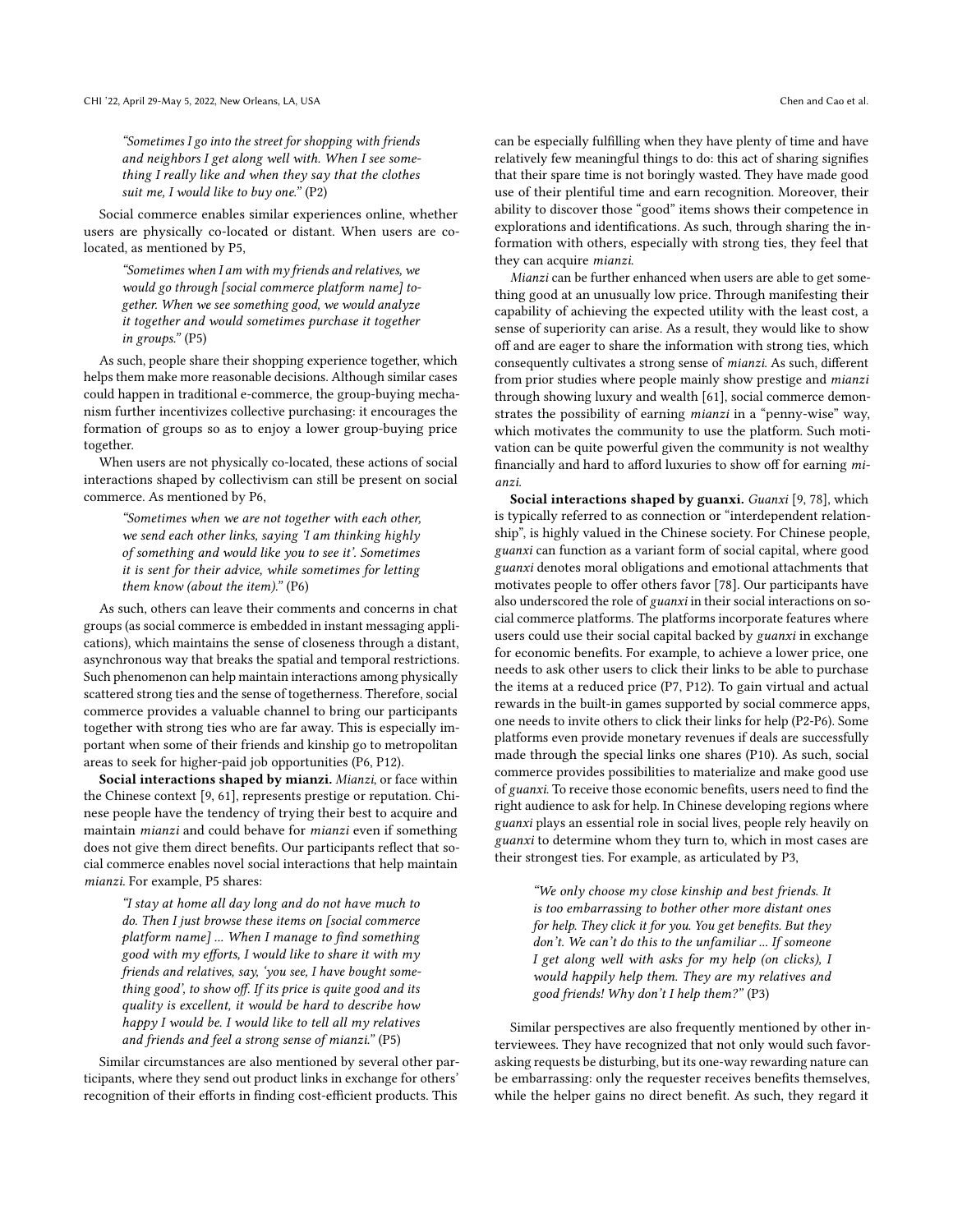"Sometimes I go into the street for shopping with friends and neighbors I get along well with. When I see something I really like and when they say that the clothes suit me, I would like to buy one."  $(P2)$ 

Social commerce enables similar experiences online, whether users are physically co-located or distant. When users are colocated, as mentioned by P5,

"Sometimes when I am with my friends and relatives, we would go through [social commerce platform name] together. When we see something good, we would analyze it together and would sometimes purchase it together in groups." (P5)

As such, people share their shopping experience together, which helps them make more reasonable decisions. Although similar cases could happen in traditional e-commerce, the group-buying mechanism further incentivizes collective purchasing: it encourages the formation of groups so as to enjoy a lower group-buying price together.

When users are not physically co-located, these actions of social interactions shaped by collectivism can still be present on social commerce. As mentioned by P6,

"Sometimes when we are not together with each other, we send each other links, saying 'I am thinking highly of something and would like you to see it'. Sometimes it is sent for their advice, while sometimes for letting them know (about the item)." (P6)

As such, others can leave their comments and concerns in chat groups (as social commerce is embedded in instant messaging applications), which maintains the sense of closeness through a distant, asynchronous way that breaks the spatial and temporal restrictions. Such phenomenon can help maintain interactions among physically scattered strong ties and the sense of togetherness. Therefore, social commerce provides a valuable channel to bring our participants together with strong ties who are far away. This is especially important when some of their friends and kinship go to metropolitan areas to seek for higher-paid job opportunities (P6, P12).

Social interactions shaped by mianzi. Mianzi, or face within the Chinese context [\[9,](#page-13-37) [61\]](#page-14-44), represents prestige or reputation. Chinese people have the tendency of trying their best to acquire and maintain mianzi and could behave for mianzi even if something does not give them direct benefts. Our participants refect that social commerce enables novel social interactions that help maintain mianzi. For example, P5 shares:

"I stay at home all day long and do not have much to do. Then I just browse these items on [social commerce platform name] ... When I manage to find something good with my efforts, I would like to share it with my friends and relatives, say, 'you see, I have bought something good', to show off. If its price is quite good and its quality is excellent, it would be hard to describe how happy I would be. I would like to tell all my relatives and friends and feel a strong sense of mianzi." (P5)

Similar circumstances are also mentioned by several other participants, where they send out product links in exchange for others' recognition of their efforts in finding cost-efficient products. This

can be especially fulflling when they have plenty of time and have relatively few meaningful things to do: this act of sharing signifes that their spare time is not boringly wasted. They have made good use of their plentiful time and earn recognition. Moreover, their ability to discover those "good" items shows their competence in explorations and identifcations. As such, through sharing the information with others, especially with strong ties, they feel that they can acquire mianzi.

Mianzi can be further enhanced when users are able to get something good at an unusually low price. Through manifesting their capability of achieving the expected utility with the least cost, a sense of superiority can arise. As a result, they would like to show off and are eager to share the information with strong ties, which consequently cultivates a strong sense of mianzi. As such, diferent from prior studies where people mainly show prestige and mianzi through showing luxury and wealth [\[61\]](#page-14-44), social commerce demonstrates the possibility of earning mianzi in a "penny-wise" way, which motivates the community to use the platform. Such motivation can be quite powerful given the community is not wealthy financially and hard to afford luxuries to show off for earning mianzi.

Social interactions shaped by guanxi. Guanxi [\[9,](#page-13-37) [78\]](#page-14-9), which is typically referred to as connection or "interdependent relationship", is highly valued in the Chinese society. For Chinese people, guanxi can function as a variant form of social capital, where good guanxi denotes moral obligations and emotional attachments that motivates people to offer others favor [\[78\]](#page-14-9). Our participants have also underscored the role of guanxi in their social interactions on social commerce platforms. The platforms incorporate features where users could use their social capital backed by guanxi in exchange for economic benefts. For example, to achieve a lower price, one needs to ask other users to click their links to be able to purchase the items at a reduced price (P7, P12). To gain virtual and actual rewards in the built-in games supported by social commerce apps, one needs to invite others to click their links for help (P2-P6). Some platforms even provide monetary revenues if deals are successfully made through the special links one shares (P10). As such, social commerce provides possibilities to materialize and make good use of guanxi. To receive those economic benefts, users need to fnd the right audience to ask for help. In Chinese developing regions where guanxi plays an essential role in social lives, people rely heavily on guanxi to determine whom they turn to, which in most cases are their strongest ties. For example, as articulated by P3,

"We only choose my close kinship and best friends. It is too embarrassing to bother other more distant ones for help. They click it for you. You get benefts. But they don't. We can't do this to the unfamiliar ... If someone I get along well with asks for my help (on clicks), I would happily help them. They are my relatives and good friends! Why don't I help them?" (P3)

Similar perspectives are also frequently mentioned by other interviewees. They have recognized that not only would such favorasking requests be disturbing, but its one-way rewarding nature can be embarrassing: only the requester receives benefts themselves, while the helper gains no direct beneft. As such, they regard it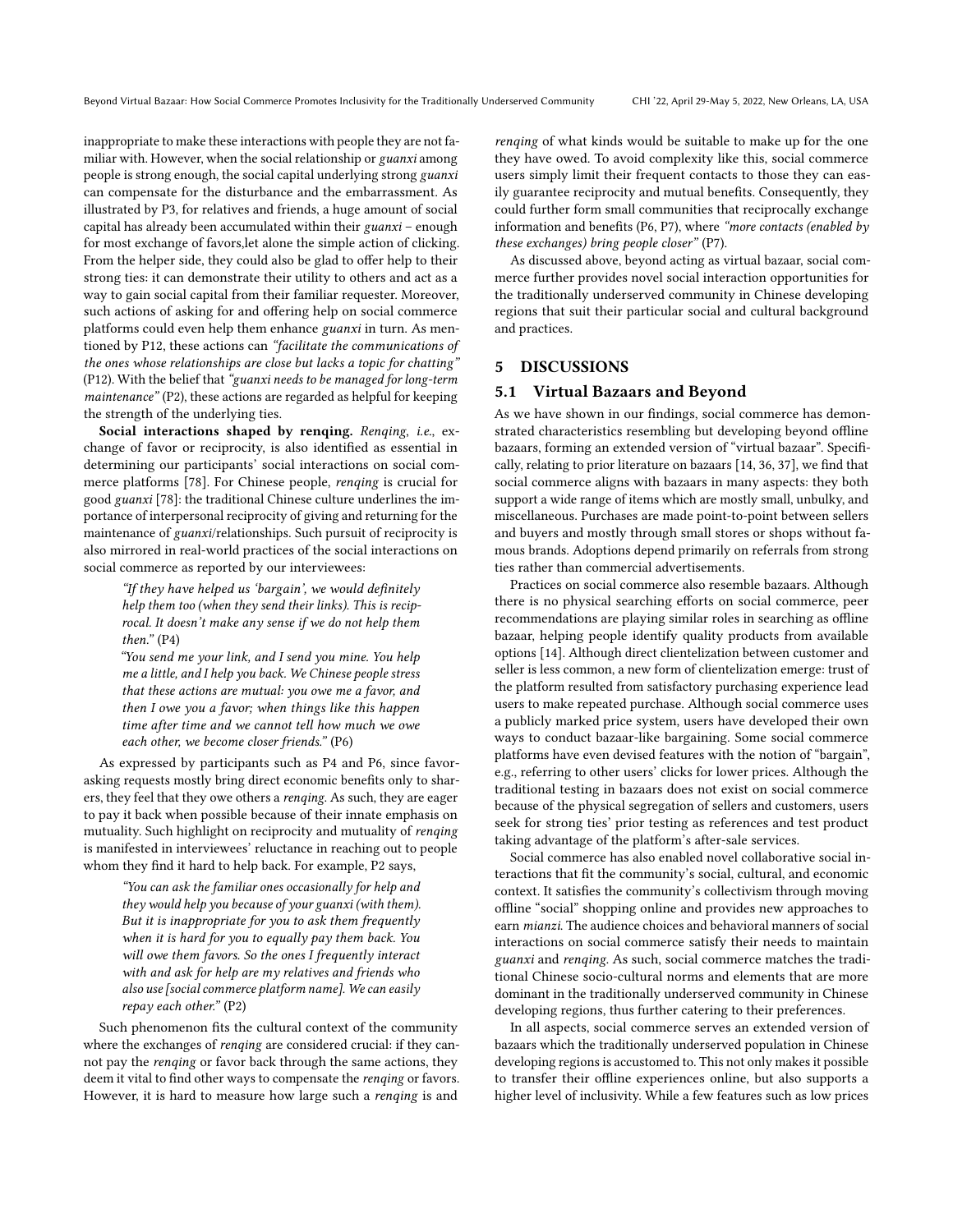inappropriate to make these interactions with people they are not familiar with. However, when the social relationship or guanxi among people is strong enough, the social capital underlying strong guanxi can compensate for the disturbance and the embarrassment. As illustrated by P3, for relatives and friends, a huge amount of social capital has already been accumulated within their guanxi – enough for most exchange of favors,let alone the simple action of clicking. From the helper side, they could also be glad to offer help to their strong ties: it can demonstrate their utility to others and act as a way to gain social capital from their familiar requester. Moreover, such actions of asking for and offering help on social commerce platforms could even help them enhance guanxi in turn. As mentioned by P12, these actions can "facilitate the communications of the ones whose relationships are close but lacks a topic for chatting" (P12). With the belief that "guanxi needs to be managed for long-term maintenance" (P2), these actions are regarded as helpful for keeping the strength of the underlying ties.

Social interactions shaped by renging. Renging, i.e., exchange of favor or reciprocity, is also identifed as essential in determining our participants' social interactions on social commerce platforms [\[78\]](#page-14-9). For Chinese people, renqing is crucial for good guanxi [\[78\]](#page-14-9): the traditional Chinese culture underlines the importance of interpersonal reciprocity of giving and returning for the maintenance of guanxi/relationships. Such pursuit of reciprocity is also mirrored in real-world practices of the social interactions on social commerce as reported by our interviewees:

"If they have helped us 'bargain', we would defnitely help them too (when they send their links). This is reciprocal. It doesn't make any sense if we do not help them  $then.$ " (P4)

"You send me your link, and I send you mine. You help me a little, and I help you back. We Chinese people stress that these actions are mutual: you owe me a favor, and then I owe you a favor; when things like this happen time after time and we cannot tell how much we owe each other, we become closer friends." (P6)

As expressed by participants such as P4 and P6, since favorasking requests mostly bring direct economic benefts only to sharers, they feel that they owe others a renqing. As such, they are eager to pay it back when possible because of their innate emphasis on mutuality. Such highlight on reciprocity and mutuality of renqing is manifested in interviewees' reluctance in reaching out to people whom they fnd it hard to help back. For example, P2 says,

"You can ask the familiar ones occasionally for help and they would help you because of your guanxi (with them). But it is inappropriate for you to ask them frequently when it is hard for you to equally pay them back. You will owe them favors. So the ones I frequently interact with and ask for help are my relatives and friends who also use [social commerce platform name]. We can easily repay each other." (P2)

Such phenomenon fits the cultural context of the community where the exchanges of renqing are considered crucial: if they cannot pay the renqing or favor back through the same actions, they deem it vital to find other ways to compensate the renqing or favors. However, it is hard to measure how large such a renqing is and

renqing of what kinds would be suitable to make up for the one they have owed. To avoid complexity like this, social commerce users simply limit their frequent contacts to those they can easily guarantee reciprocity and mutual benefts. Consequently, they could further form small communities that reciprocally exchange information and benefits (P6, P7), where "more contacts (enabled by these exchanges) bring people closer" (P7).

As discussed above, beyond acting as virtual bazaar, social commerce further provides novel social interaction opportunities for the traditionally underserved community in Chinese developing regions that suit their particular social and cultural background and practices.

### <span id="page-10-0"></span>5 DISCUSSIONS

#### 5.1 Virtual Bazaars and Beyond

As we have shown in our fndings, social commerce has demonstrated characteristics resembling but developing beyond ofine bazaars, forming an extended version of "virtual bazaar". Specifcally, relating to prior literature on bazaars [\[14,](#page-13-11) [36,](#page-13-9) [37\]](#page-13-10), we fnd that social commerce aligns with bazaars in many aspects: they both support a wide range of items which are mostly small, unbulky, and miscellaneous. Purchases are made point-to-point between sellers and buyers and mostly through small stores or shops without famous brands. Adoptions depend primarily on referrals from strong ties rather than commercial advertisements.

Practices on social commerce also resemble bazaars. Although there is no physical searching eforts on social commerce, peer recommendations are playing similar roles in searching as offline bazaar, helping people identify quality products from available options [\[14\]](#page-13-11). Although direct clientelization between customer and seller is less common, a new form of clientelization emerge: trust of the platform resulted from satisfactory purchasing experience lead users to make repeated purchase. Although social commerce uses a publicly marked price system, users have developed their own ways to conduct bazaar-like bargaining. Some social commerce platforms have even devised features with the notion of "bargain", e.g., referring to other users' clicks for lower prices. Although the traditional testing in bazaars does not exist on social commerce because of the physical segregation of sellers and customers, users seek for strong ties' prior testing as references and test product taking advantage of the platform's after-sale services.

Social commerce has also enabled novel collaborative social interactions that ft the community's social, cultural, and economic context. It satisfes the community's collectivism through moving ofine "social" shopping online and provides new approaches to earn mianzi. The audience choices and behavioral manners of social interactions on social commerce satisfy their needs to maintain guanxi and renqing. As such, social commerce matches the traditional Chinese socio-cultural norms and elements that are more dominant in the traditionally underserved community in Chinese developing regions, thus further catering to their preferences.

In all aspects, social commerce serves an extended version of bazaars which the traditionally underserved population in Chinese developing regions is accustomed to. This not only makes it possible to transfer their ofine experiences online, but also supports a higher level of inclusivity. While a few features such as low prices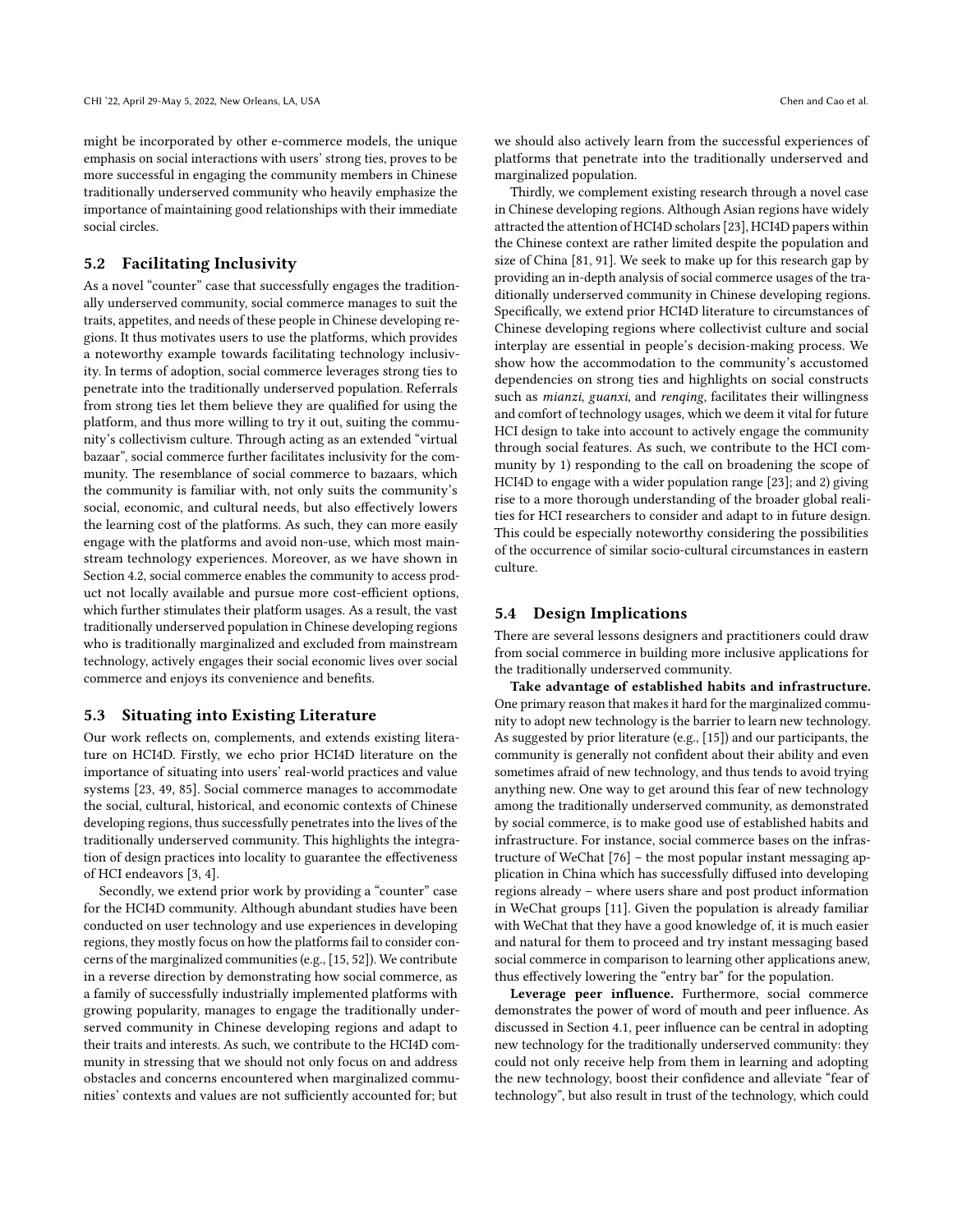might be incorporated by other e-commerce models, the unique emphasis on social interactions with users' strong ties, proves to be more successful in engaging the community members in Chinese traditionally underserved community who heavily emphasize the importance of maintaining good relationships with their immediate social circles.

## 5.2 Facilitating Inclusivity

As a novel "counter" case that successfully engages the traditionally underserved community, social commerce manages to suit the traits, appetites, and needs of these people in Chinese developing regions. It thus motivates users to use the platforms, which provides a noteworthy example towards facilitating technology inclusivity. In terms of adoption, social commerce leverages strong ties to penetrate into the traditionally underserved population. Referrals from strong ties let them believe they are qualifed for using the platform, and thus more willing to try it out, suiting the community's collectivism culture. Through acting as an extended "virtual bazaar", social commerce further facilitates inclusivity for the community. The resemblance of social commerce to bazaars, which the community is familiar with, not only suits the community's social, economic, and cultural needs, but also efectively lowers the learning cost of the platforms. As such, they can more easily engage with the platforms and avoid non-use, which most mainstream technology experiences. Moreover, as we have shown in Section [4.2,](#page-6-0) social commerce enables the community to access product not locally available and pursue more cost-efficient options, which further stimulates their platform usages. As a result, the vast traditionally underserved population in Chinese developing regions who is traditionally marginalized and excluded from mainstream technology, actively engages their social economic lives over social commerce and enjoys its convenience and benefts.

#### 5.3 Situating into Existing Literature

Our work refects on, complements, and extends existing literature on HCI4D. Firstly, we echo prior HCI4D literature on the importance of situating into users' real-world practices and value systems [\[23,](#page-13-2) [49,](#page-13-5) [85\]](#page-14-14). Social commerce manages to accommodate the social, cultural, historical, and economic contexts of Chinese developing regions, thus successfully penetrates into the lives of the traditionally underserved community. This highlights the integration of design practices into locality to guarantee the efectiveness of HCI endeavors [\[3,](#page-12-2) [4\]](#page-12-0).

Secondly, we extend prior work by providing a "counter" case for the HCI4D community. Although abundant studies have been conducted on user technology and use experiences in developing regions, they mostly focus on how the platformsfail to consider concerns of the marginalized communities(e.g., [\[15,](#page-13-4) [52\]](#page-13-3)). We contribute in a reverse direction by demonstrating how social commerce, as a family of successfully industrially implemented platforms with growing popularity, manages to engage the traditionally underserved community in Chinese developing regions and adapt to their traits and interests. As such, we contribute to the HCI4D community in stressing that we should not only focus on and address obstacles and concerns encountered when marginalized communities' contexts and values are not sufficiently accounted for; but

we should also actively learn from the successful experiences of platforms that penetrate into the traditionally underserved and marginalized population.

Thirdly, we complement existing research through a novel case in Chinese developing regions. Although Asian regions have widely attracted the attention of HCI4D scholars[\[23\]](#page-13-2), HCI4D papers within the Chinese context are rather limited despite the population and size of China [\[81,](#page-14-36) [91\]](#page-14-45). We seek to make up for this research gap by providing an in-depth analysis of social commerce usages of the traditionally underserved community in Chinese developing regions. Specifcally, we extend prior HCI4D literature to circumstances of Chinese developing regions where collectivist culture and social interplay are essential in people's decision-making process. We show how the accommodation to the community's accustomed dependencies on strong ties and highlights on social constructs such as *mianzi*, *guanxi*, and *renqing*, facilitates their willingness and comfort of technology usages, which we deem it vital for future HCI design to take into account to actively engage the community through social features. As such, we contribute to the HCI community by 1) responding to the call on broadening the scope of HCI4D to engage with a wider population range [\[23\]](#page-13-2); and 2) giving rise to a more thorough understanding of the broader global realities for HCI researchers to consider and adapt to in future design. This could be especially noteworthy considering the possibilities of the occurrence of similar socio-cultural circumstances in eastern culture.

### 5.4 Design Implications

There are several lessons designers and practitioners could draw from social commerce in building more inclusive applications for the traditionally underserved community.

Take advantage of established habits and infrastructure. One primary reason that makes it hard for the marginalized community to adopt new technology is the barrier to learn new technology. As suggested by prior literature (e.g., [\[15\]](#page-13-4)) and our participants, the community is generally not confdent about their ability and even sometimes afraid of new technology, and thus tends to avoid trying anything new. One way to get around this fear of new technology among the traditionally underserved community, as demonstrated by social commerce, is to make good use of established habits and infrastructure. For instance, social commerce bases on the infrastructure of WeChat [\[76\]](#page-14-46) – the most popular instant messaging application in China which has successfully difused into developing regions already – where users share and post product information in WeChat groups [\[11\]](#page-13-6). Given the population is already familiar with WeChat that they have a good knowledge of, it is much easier and natural for them to proceed and try instant messaging based social commerce in comparison to learning other applications anew, thus efectively lowering the "entry bar" for the population.

Leverage peer infuence. Furthermore, social commerce demonstrates the power of word of mouth and peer infuence. As discussed in Section [4.1,](#page-5-1) peer infuence can be central in adopting new technology for the traditionally underserved community: they could not only receive help from them in learning and adopting the new technology, boost their confdence and alleviate "fear of technology", but also result in trust of the technology, which could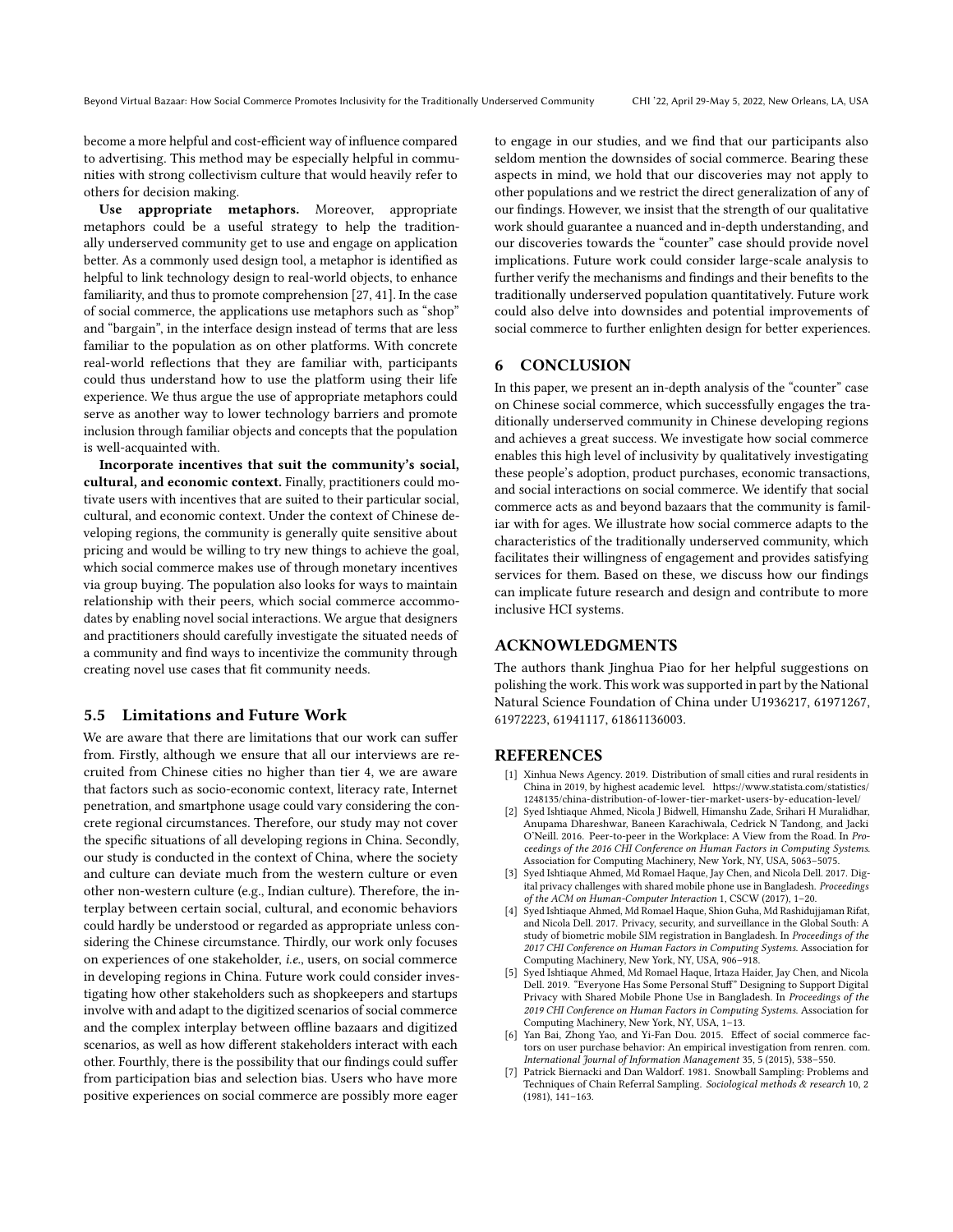become a more helpful and cost-efficient way of influence compared to advertising. This method may be especially helpful in communities with strong collectivism culture that would heavily refer to others for decision making.

Use appropriate metaphors. Moreover, appropriate metaphors could be a useful strategy to help the traditionally underserved community get to use and engage on application better. As a commonly used design tool, a metaphor is identifed as helpful to link technology design to real-world objects, to enhance familiarity, and thus to promote comprehension [\[27,](#page-13-43) [41\]](#page-13-44). In the case of social commerce, the applications use metaphors such as "shop" and "bargain", in the interface design instead of terms that are less familiar to the population as on other platforms. With concrete real-world refections that they are familiar with, participants could thus understand how to use the platform using their life experience. We thus argue the use of appropriate metaphors could serve as another way to lower technology barriers and promote inclusion through familiar objects and concepts that the population is well-acquainted with.

Incorporate incentives that suit the community's social, cultural, and economic context. Finally, practitioners could motivate users with incentives that are suited to their particular social, cultural, and economic context. Under the context of Chinese developing regions, the community is generally quite sensitive about pricing and would be willing to try new things to achieve the goal, which social commerce makes use of through monetary incentives via group buying. The population also looks for ways to maintain relationship with their peers, which social commerce accommodates by enabling novel social interactions. We argue that designers and practitioners should carefully investigate the situated needs of a community and fnd ways to incentivize the community through creating novel use cases that ft community needs.

#### 5.5 Limitations and Future Work

We are aware that there are limitations that our work can suffer from. Firstly, although we ensure that all our interviews are recruited from Chinese cities no higher than tier 4, we are aware that factors such as socio-economic context, literacy rate, Internet penetration, and smartphone usage could vary considering the concrete regional circumstances. Therefore, our study may not cover the specifc situations of all developing regions in China. Secondly, our study is conducted in the context of China, where the society and culture can deviate much from the western culture or even other non-western culture (e.g., Indian culture). Therefore, the interplay between certain social, cultural, and economic behaviors could hardly be understood or regarded as appropriate unless considering the Chinese circumstance. Thirdly, our work only focuses on experiences of one stakeholder, i.e., users, on social commerce in developing regions in China. Future work could consider investigating how other stakeholders such as shopkeepers and startups involve with and adapt to the digitized scenarios of social commerce and the complex interplay between offline bazaars and digitized scenarios, as well as how diferent stakeholders interact with each other. Fourthly, there is the possibility that our fndings could sufer from participation bias and selection bias. Users who have more positive experiences on social commerce are possibly more eager

to engage in our studies, and we fnd that our participants also seldom mention the downsides of social commerce. Bearing these aspects in mind, we hold that our discoveries may not apply to other populations and we restrict the direct generalization of any of our fndings. However, we insist that the strength of our qualitative work should guarantee a nuanced and in-depth understanding, and our discoveries towards the "counter" case should provide novel implications. Future work could consider large-scale analysis to further verify the mechanisms and fndings and their benefts to the traditionally underserved population quantitatively. Future work could also delve into downsides and potential improvements of social commerce to further enlighten design for better experiences.

### 6 CONCLUSION

In this paper, we present an in-depth analysis of the "counter" case on Chinese social commerce, which successfully engages the traditionally underserved community in Chinese developing regions and achieves a great success. We investigate how social commerce enables this high level of inclusivity by qualitatively investigating these people's adoption, product purchases, economic transactions, and social interactions on social commerce. We identify that social commerce acts as and beyond bazaars that the community is familiar with for ages. We illustrate how social commerce adapts to the characteristics of the traditionally underserved community, which facilitates their willingness of engagement and provides satisfying services for them. Based on these, we discuss how our fndings can implicate future research and design and contribute to more inclusive HCI systems.

### ACKNOWLEDGMENTS

The authors thank Jinghua Piao for her helpful suggestions on polishing the work. This work was supported in part by the National Natural Science Foundation of China under U1936217, 61971267, 61972223, 61941117, 61861136003.

#### REFERENCES

- <span id="page-12-5"></span>[1] Xinhua News Agency. 2019. Distribution of small cities and rural residents in China in 2019, by highest academic level. [https://www.statista.com/statistics/](https://www.statista.com/statistics/1248135/china-distribution-of-lower-tier-market-users-by-education-level/) [1248135/china-distribution-of-lower-tier-market-users-by-education-level/](https://www.statista.com/statistics/1248135/china-distribution-of-lower-tier-market-users-by-education-level/)
- <span id="page-12-1"></span>[2] Syed Ishtiaque Ahmed, Nicola J Bidwell, Himanshu Zade, Srihari H Muralidhar, Anupama Dhareshwar, Baneen Karachiwala, Cedrick N Tandong, and Jacki O'Neill. 2016. Peer-to-peer in the Workplace: A View from the Road. In Proceedings of the 2016 CHI Conference on Human Factors in Computing Systems. Association for Computing Machinery, New York, NY, USA, 5063–5075.
- <span id="page-12-2"></span>[3] Syed Ishtiaque Ahmed, Md Romael Haque, Jay Chen, and Nicola Dell. 2017. Digital privacy challenges with shared mobile phone use in Bangladesh. Proceedings of the ACM on Human-Computer Interaction 1, CSCW (2017), 1–20.
- <span id="page-12-0"></span>[4] Syed Ishtiaque Ahmed, Md Romael Haque, Shion Guha, Md Rashidujjaman Rifat, and Nicola Dell. 2017. Privacy, security, and surveillance in the Global South: A study of biometric mobile SIM registration in Bangladesh. In Proceedings of the 2017 CHI Conference on Human Factors in Computing Systems. Association for Computing Machinery, New York, NY, USA, 906–918.
- <span id="page-12-3"></span>[5] Syed Ishtiaque Ahmed, Md Romael Haque, Irtaza Haider, Jay Chen, and Nicola Dell. 2019. "Everyone Has Some Personal Stuf" Designing to Support Digital Privacy with Shared Mobile Phone Use in Bangladesh. In Proceedings of the 2019 CHI Conference on Human Factors in Computing Systems. Association for Computing Machinery, New York, NY, USA, 1–13.
- <span id="page-12-4"></span>[6] Yan Bai, Zhong Yao, and Yi-Fan Dou. 2015. Efect of social commerce factors on user purchase behavior: An empirical investigation from renren. com. International Journal of Information Management 35, 5 (2015), 538–550.
- <span id="page-12-6"></span>[7] Patrick Biernacki and Dan Waldorf. 1981. Snowball Sampling: Problems and Techniques of Chain Referral Sampling. Sociological methods & research 10, 2 (1981), 141–163.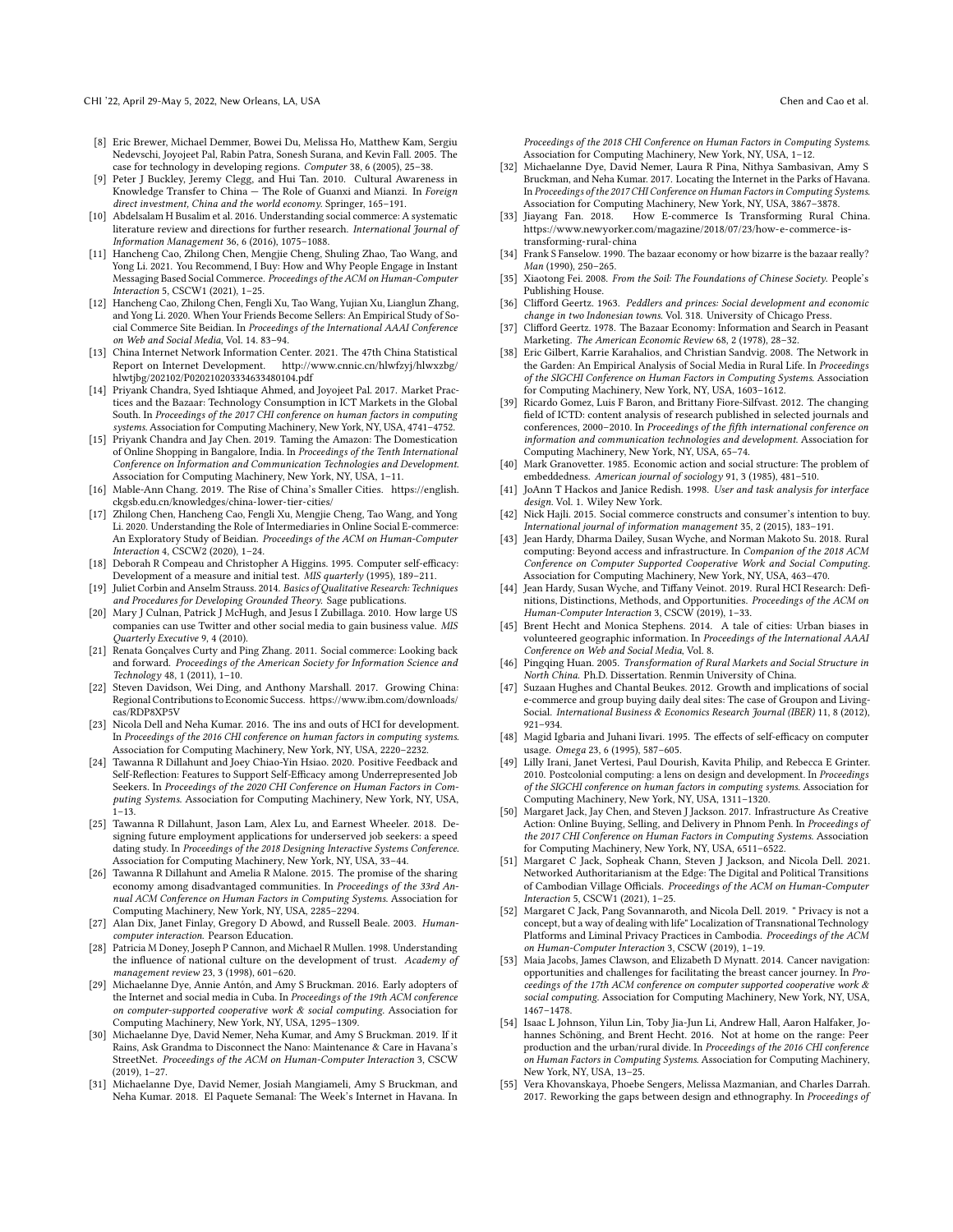- <span id="page-13-15"></span>[8] Eric Brewer, Michael Demmer, Bowei Du, Melissa Ho, Matthew Kam, Sergiu Nedevschi, Joyojeet Pal, Rabin Patra, Sonesh Surana, and Kevin Fall. 2005. The case for technology in developing regions. Computer 38, 6 (2005), 25–38.
- <span id="page-13-37"></span>Peter J Buckley, Jeremy Clegg, and Hui Tan. 2010. Cultural Awareness in Knowledge Transfer to China — The Role of Guanxi and Mianzi. In Foreign direct investment, China and the world economy. Springer, 165–191.
- <span id="page-13-28"></span>[10] Abdelsalam H Busalim et al. 2016. Understanding social commerce: A systematic literature review and directions for further research. International Journal of Information Management 36, 6 (2016), 1075–1088.
- <span id="page-13-6"></span>[11] Hancheng Cao, Zhilong Chen, Mengjie Cheng, Shuling Zhao, Tao Wang, and Yong Li. 2021. You Recommend, I Buy: How and Why People Engage in Instant Messaging Based Social Commerce. Proceedings of the ACM on Human-Computer Interaction 5, CSCW1 (2021), 1–25.
- <span id="page-13-30"></span>[12] Hancheng Cao, Zhilong Chen, Fengli Xu, Tao Wang, Yujian Xu, Lianglun Zhang, and Yong Li. 2020. When Your Friends Become Sellers: An Empirical Study of Social Commerce Site Beidian. In Proceedings of the International AAAI Conference on Web and Social Media, Vol. 14. 83–94.
- <span id="page-13-34"></span>[13] China Internet Network Information Center. 2021. The 47th China Statistical Report on Internet Development. [http://www.cnnic.cn/hlwfzyj/hlwxzbg/](http://www.cnnic.cn/hlwfzyj/hlwxzbg/hlwtjbg/202102/P020210203334633480104.pdf) [hlwtjbg/202102/P020210203334633480104.pdf](http://www.cnnic.cn/hlwfzyj/hlwxzbg/hlwtjbg/202102/P020210203334633480104.pdf)
- <span id="page-13-11"></span>[14] Priyank Chandra, Syed Ishtiaque Ahmed, and Joyojeet Pal. 2017. Market Practices and the Bazaar: Technology Consumption in ICT Markets in the Global South. In Proceedings of the 2017 CHI conference on human factors in computing systems. Association for Computing Machinery, New York, NY, USA, 4741–4752.
- <span id="page-13-4"></span>[15] Priyank Chandra and Jay Chen. 2019. Taming the Amazon: The Domestication of Online Shopping in Bangalore, India. In Proceedings of the Tenth International Conference on Information and Communication Technologies and Development. Association for Computing Machinery, New York, NY, USA, 1–11.
- <span id="page-13-32"></span>[16] Mable-Ann Chang. 2019. The Rise of China's Smaller Cities. [https://english.](https://english.ckgsb.edu.cn/knowledges/china-lower-tier-cities/) [ckgsb.edu.cn/knowledges/china-lower-tier-cities/](https://english.ckgsb.edu.cn/knowledges/china-lower-tier-cities/)
- <span id="page-13-31"></span>[17] Zhilong Chen, Hancheng Cao, Fengli Xu, Mengjie Cheng, Tao Wang, and Yong Li. 2020. Understanding the Role of Intermediaries in Online Social E-commerce: An Exploratory Study of Beidian. Proceedings of the ACM on Human-Computer Interaction 4, CSCW2 (2020), 1–24.
- <span id="page-13-38"></span>[18] Deborah R Compeau and Christopher A Higgins. 1995. Computer self-efficacy: Development of a measure and initial test. MIS quarterly (1995), 189–211.
- <span id="page-13-40"></span> $\left[ 19\right]$ Juliet Corbin and Anselm Strauss. 2014. Basics of Qualitative Research: Techniques and Procedures for Developing Grounded Theory. Sage publications.
- <span id="page-13-26"></span>[20] Mary J Culnan, Patrick J McHugh, and Jesus I Zubillaga. 2010. How large US companies can use Twitter and other social media to gain business value. MIS Quarterly Executive 9, 4 (2010).
- <span id="page-13-24"></span>[21] Renata Gonçalves Curty and Ping Zhang. 2011. Social commerce: Looking back and forward. Proceedings of the American Society for Information Science and Technology 48, 1 (2011), 1–10.
- <span id="page-13-33"></span>[22] Steven Davidson, Wei Ding, and Anthony Marshall. 2017. Growing China: Regional Contributionsto Economic Success. [https://www.ibm.com/downloads/](https://www.ibm.com/downloads/cas/RDP8XP5V) [cas/RDP8XP5V](https://www.ibm.com/downloads/cas/RDP8XP5V)
- <span id="page-13-2"></span>[23] Nicola Dell and Neha Kumar. 2016. The ins and outs of HCI for development. In Proceedings of the 2016 CHI conference on human factors in computing systems. Association for Computing Machinery, New York, NY, USA, 2220–2232.
- <span id="page-13-0"></span>[24] Tawanna R Dillahunt and Joey Chiao-Yin Hsiao. 2020. Positive Feedback and Self-Reflection: Features to Support Self-Efficacy among Underrepresented Job Seekers. In Proceedings of the 2020 CHI Conference on Human Factors in Computing Systems. Association for Computing Machinery, New York, NY, USA,  $1 - 13$ .
- [25] Tawanna R Dillahunt, Jason Lam, Alex Lu, and Earnest Wheeler. 2018. Designing future employment applications for underserved job seekers: a speed dating study. In Proceedings of the 2018 Designing Interactive Systems Conference. Association for Computing Machinery, New York, NY, USA, 33–44.
- <span id="page-13-1"></span>[26] Tawanna R Dillahunt and Amelia R Malone. 2015. The promise of the sharing economy among disadvantaged communities. In Proceedings of the 33rd Annual ACM Conference on Human Factors in Computing Systems. Association for Computing Machinery, New York, NY, USA, 2285–2294.
- <span id="page-13-43"></span>[27] Alan Dix, Janet Finlay, Gregory D Abowd, and Russell Beale. 2003. Humancomputer interaction. Pearson Education.
- <span id="page-13-42"></span>[28] Patricia M Doney, Joseph P Cannon, and Michael R Mullen. 1998. Understanding the infuence of national culture on the development of trust. Academy of management review 23, 3 (1998), 601–620.
- <span id="page-13-21"></span>[29] Michaelanne Dye, Annie Antón, and Amy S Bruckman. 2016. Early adopters of the Internet and social media in Cuba. In Proceedings of the 19th ACM conference on computer-supported cooperative work & social computing. Association for Computing Machinery, New York, NY, USA, 1295–1309.
- [30] Michaelanne Dye, David Nemer, Neha Kumar, and Amy S Bruckman. 2019. If it Rains, Ask Grandma to Disconnect the Nano: Maintenance & Care in Havana's StreetNet. Proceedings of the ACM on Human-Computer Interaction 3, CSCW (2019), 1–27.
- [31] Michaelanne Dye, David Nemer, Josiah Mangiameli, Amy S Bruckman, and Neha Kumar. 2018. El Paquete Semanal: The Week's Internet in Havana. In

Proceedings of the 2018 CHI Conference on Human Factors in Computing Systems. Association for Computing Machinery, New York, NY, USA, 1–12.

- <span id="page-13-22"></span>[32] Michaelanne Dye, David Nemer, Laura R Pina, Nithya Sambasivan, Amy S Bruckman, and Neha Kumar. 2017. Locating the Internet in the Parks of Havana. In Proceedings of the 2017 CHI Conference on Human Factors in Computing Systems. Association for Computing Machinery, New York, NY, USA, 3867–3878.
- <span id="page-13-35"></span>[33] Jiayang Fan. 2018. How E-commerce Is Transforming Rural China. [https://www.newyorker.com/magazine/2018/07/23/how-e-commerce-is](https://www.newyorker.com/magazine/2018/07/23/how-e-commerce-is-transforming-rural-china)[transforming-rural-china](https://www.newyorker.com/magazine/2018/07/23/how-e-commerce-is-transforming-rural-china)
- <span id="page-13-8"></span>[34] Frank S Fanselow. 1990. The bazaar economy or how bizarre is the bazaar really? Man (1990), 250–265.
- <span id="page-13-41"></span>[35] Xiaotong Fei. 2008. From the Soil: The Foundations of Chinese Society. People's Publishing House.
- <span id="page-13-9"></span>[36] Clifford Geertz. 1963. Peddlers and princes: Social development and economic change in two Indonesian towns. Vol. 318. University of Chicago Press.
- <span id="page-13-10"></span>[37] Clifford Geertz. 1978. The Bazaar Economy: Information and Search in Peasant Marketing. The American Economic Review 68, 2 (1978), 28–32.
- <span id="page-13-18"></span>[38] Eric Gilbert, Karrie Karahalios, and Christian Sandvig. 2008. The Network in the Garden: An Empirical Analysis of Social Media in Rural Life. In Proceedings of the SIGCHI Conference on Human Factors in Computing Systems. Association for Computing Machinery, New York, NY, USA, 1603–1612.
- <span id="page-13-12"></span>[39] Ricardo Gomez, Luis F Baron, and Brittany Fiore-Silfvast. 2012. The changing feld of ICTD: content analysis of research published in selected journals and conferences, 2000–2010. In Proceedings of the ffth international conference on information and communication technologies and development. Association for Computing Machinery, New York, NY, USA, 65–74.
- <span id="page-13-25"></span>[40] Mark Granovetter. 1985. Economic action and social structure: The problem of embeddedness. American journal of sociology 91, 3 (1985), 481-510.
- <span id="page-13-44"></span>[41] JoAnn T Hackos and Janice Redish. 1998. User and task analysis for interface design. Vol. 1. Wiley New York.
- <span id="page-13-29"></span>[42] Nick Hajli. 2015. Social commerce constructs and consumer's intention to buy. International journal of information management 35, 2 (2015), 183–191.
- <span id="page-13-14"></span>[43] Jean Hardy, Dharma Dailey, Susan Wyche, and Norman Makoto Su. 2018. Rural computing: Beyond access and infrastructure. In Companion of the 2018 ACM Conference on Computer Supported Cooperative Work and Social Computing.
- <span id="page-13-13"></span>Association for Computing Machinery, New York, NY, USA, 463–470. [44] Jean Hardy, Susan Wyche, and Tifany Veinot. 2019. Rural HCI Research: Defnitions, Distinctions, Methods, and Opportunities. Proceedings of the ACM on Human-Computer Interaction 3, CSCW (2019), 1–33.
- <span id="page-13-19"></span>[45] Brent Hecht and Monica Stephens. 2014. A tale of cities: Urban biases in volunteered geographic information. In Proceedings of the International AAAI Conference on Web and Social Media, Vol. 8.
- <span id="page-13-36"></span>[46] Pingqing Huan. 2005. Transformation of Rural Markets and Social Structure in North China. Ph.D. Dissertation. Renmin University of China.
- <span id="page-13-27"></span>[47] Suzaan Hughes and Chantal Beukes. 2012. Growth and implications of social e-commerce and group buying daily deal sites: The case of Groupon and Living-Social. International Business & Economics Research Journal (IBER) 11, 8 (2012), 921–934.
- <span id="page-13-39"></span>[48] Magid Igbaria and Juhani Iivari. 1995. The effects of self-efficacy on computer usage. Omega 23, 6 (1995), 587–605.
- <span id="page-13-5"></span>[49] Lilly Irani, Janet Vertesi, Paul Dourish, Kavita Philip, and Rebecca E Grinter. 2010. Postcolonial computing: a lens on design and development. In Proceedings of the SIGCHI conference on human factors in computing systems. Association for Computing Machinery, New York, NY, USA, 1311–1320.
- <span id="page-13-7"></span>[50] Margaret Jack, Jay Chen, and Steven J Jackson. 2017. Infrastructure As Creative Action: Online Buying, Selling, and Delivery in Phnom Penh. In Proceedings of the 2017 CHI Conference on Human Factors in Computing Systems. Association for Computing Machinery, New York, NY, USA, 6511–6522.
- <span id="page-13-23"></span>[51] Margaret C Jack, Sopheak Chann, Steven J Jackson, and Nicola Dell. 2021. Networked Authoritarianism at the Edge: The Digital and Political Transitions of Cambodian Village Officials. Proceedings of the ACM on Human-Computer Interaction 5, CSCW1 (2021), 1–25.
- <span id="page-13-3"></span>[52] Margaret C Jack, Pang Sovannaroth, and Nicola Dell. 2019. " Privacy is not a concept, but a way of dealing with life" Localization of Transnational Technology Platforms and Liminal Privacy Practices in Cambodia. Proceedings of the ACM on Human-Computer Interaction 3, CSCW (2019), 1–19.
- <span id="page-13-16"></span>[53] Maia Jacobs, James Clawson, and Elizabeth D Mynatt. 2014. Cancer navigation: opportunities and challenges for facilitating the breast cancer journey. In Proceedings of the 17th ACM conference on computer supported cooperative work & social computing. Association for Computing Machinery, New York, NY, USA, 1467–1478.
- <span id="page-13-20"></span>[54] Isaac L Johnson, Yilun Lin, Toby Jia-Jun Li, Andrew Hall, Aaron Halfaker, Johannes Schöning, and Brent Hecht. 2016. Not at home on the range: Peer production and the urban/rural divide. In Proceedings of the 2016 CHI conference on Human Factors in Computing Systems. Association for Computing Machinery, New York, NY, USA, 13–25.
- <span id="page-13-17"></span>[55] Vera Khovanskaya, Phoebe Sengers, Melissa Mazmanian, and Charles Darrah. 2017. Reworking the gaps between design and ethnography. In Proceedings of